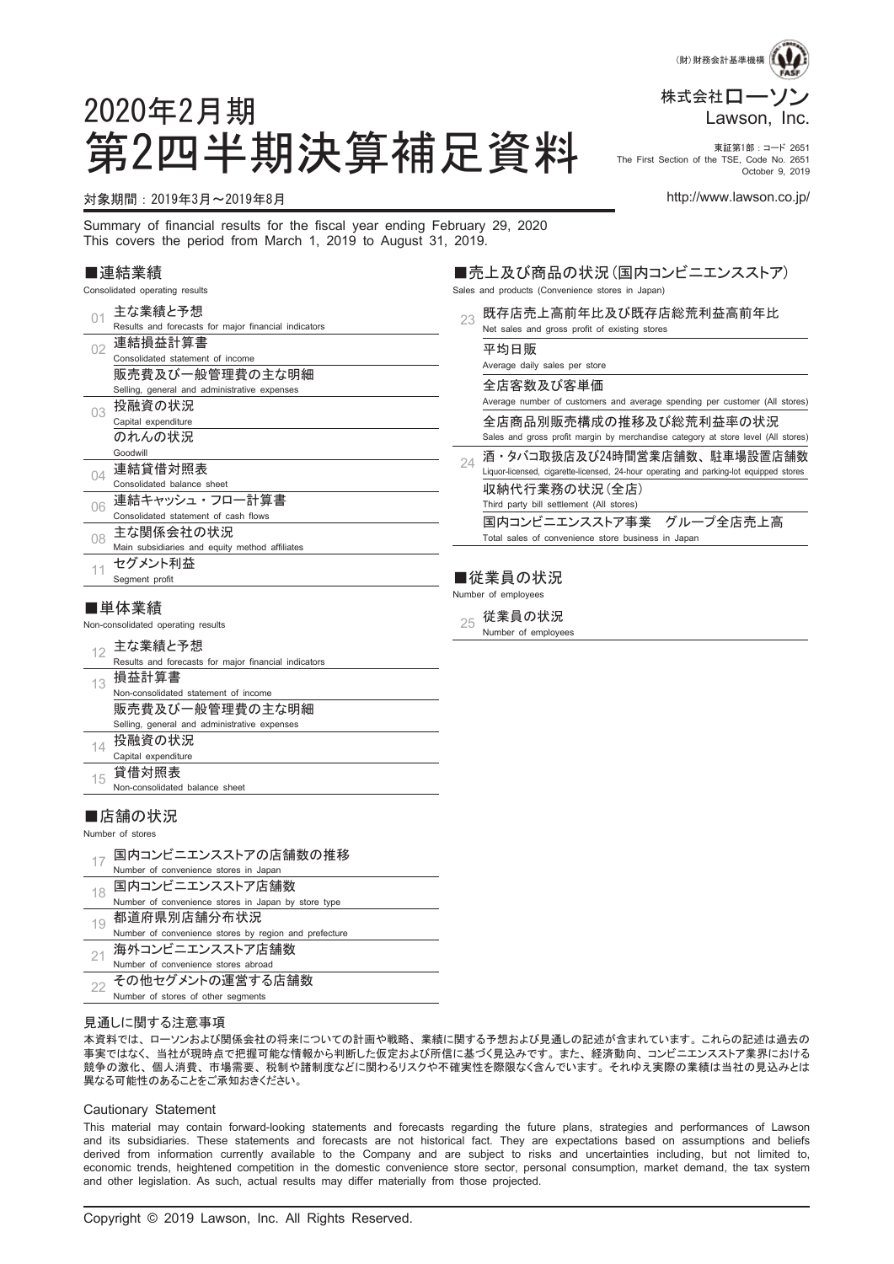

#### 第2四半期決算補足資料 Fire First Section of the TSE, Code No. 2651 The First Section of the TSE, Code No. 2651 October 9, 2019

#### 対象期間:2019年3月~2019年8月 http://www.lawson.co.jp/

2020年2月期

Summary of financial results for the fiscal year ending February 29, 2020 This covers the period from March 1, 2019 to August 31, 2019.

#### ■連結業績

Consolidated operating results

| 01 | 主な業績と予想                                                | 23 | 既存店売上高前年比及び既存店総荒                                           |
|----|--------------------------------------------------------|----|------------------------------------------------------------|
|    | Results and forecasts for major financial indicators   |    | Net sales and gross profit of existing stores              |
| 02 | 連結損益計算書                                                |    | 平均日販                                                       |
|    | Consolidated statement of income                       |    | Average daily sales per store                              |
|    | 販売費及び一般管理費の主な明細                                        |    | 全店客数及び客単価                                                  |
|    | Selling, general and administrative expenses           |    |                                                            |
| 03 | 投融資の状況                                                 |    | Average number of customers and average spending           |
|    | Capital expenditure                                    |    | 全店商品別販売構成の推移及び総荒                                           |
|    | のれんの状況                                                 |    | Sales and gross profit margin by merchandise catego        |
|    | Goodwill                                               | 2Δ | 酒・タバコ取扱店及び24時間営業店舗数                                        |
| 04 | 連結貸借対照表                                                |    | Liquor-licensed, cigarette-licensed, 24-hour operating and |
|    | Consolidated balance sheet                             |    | 収納代行業務の状況(全店)                                              |
| 06 | 連結キャッシュ・フロー計算書                                         |    | Third party bill settlement (All stores)                   |
|    | Consolidated statement of cash flows                   |    | 国内コンビニエンスストア事業<br>グルー                                      |
| 08 | 主な関係会社の状況                                              |    | Total sales of convenience store business in Japan         |
|    | Main subsidiaries and equity method affiliates         |    |                                                            |
| 11 | セグメント利益                                                |    |                                                            |
|    | Segment profit                                         |    | ■従業員の状況                                                    |
|    |                                                        |    | Number of employees                                        |
|    | ■単体業績                                                  |    | 従業員の状況                                                     |
|    | Non-consolidated operating results                     | 25 | Number of employees                                        |
| 12 | 主な業績と予想                                                |    |                                                            |
|    | Results and forecasts for major financial indicators   |    |                                                            |
| 13 | 損益計算書                                                  |    |                                                            |
|    | Non-consolidated statement of income                   |    |                                                            |
|    | 販売費及び一般管理費の主な明細                                        |    |                                                            |
|    | Selling, general and administrative expenses           |    |                                                            |
| 14 | 投融資の状況                                                 |    |                                                            |
|    | Capital expenditure                                    |    |                                                            |
| 15 | 貸借対照表                                                  |    |                                                            |
|    | Non-consolidated balance sheet                         |    |                                                            |
|    |                                                        |    |                                                            |
|    | ■店舗の状況                                                 |    |                                                            |
|    | Number of stores                                       |    |                                                            |
|    | 国内コンビニエンスストアの店舗数の推移                                    |    |                                                            |
| 17 | Number of convenience stores in Japan                  |    |                                                            |
|    | 国内コンビニエンスストア店舗数                                        |    |                                                            |
| 18 | Number of convenience stores in Japan by store type    |    |                                                            |
|    | 都道府県別店舗分布状況                                            |    |                                                            |
| 19 |                                                        |    |                                                            |
|    |                                                        |    |                                                            |
|    | Number of convenience stores by region and prefecture  |    |                                                            |
| 21 | 海外コンビニエンスストア店舗数<br>Number of convenience stores abroad |    |                                                            |

見通しに関する注意事項

その他セグメントの運営する店舗数 Number of stores of other segments

22

本資料では、 ローソンおよび関係会社の将来についての計画や戦略、 業績に関する予想および見通しの記述が含まれています。 これらの記述は過去の 事実ではなく、 当社が現時点で把握可能な情報から判断した仮定および所信に基づく見込みです。 また、 経済動向、 コンビニエンスストア業界における 競争の激化、 個人消費、 市場需要、 税制や諸制度などに関わるリスクや不確実性を際限なく含んでいます。 それゆえ実際の業績は当社の見込みとは 異なる可能性のあることをご承知おきください。

#### Cautionary Statement

This material may contain forward-looking statements and forecasts regarding the future plans, strategies and performances of Lawson and its subsidiaries. These statements and forecasts are not historical fact. They are expectations based on assumptions and beliefs derived from information currently available to the Company and are subject to risks and uncertainties including, but not limited to, economic trends, heightened competition in the domestic convenience store sector, personal consumption, market demand, the tax system and other legislation. As such, actual results may differ materially from those projected.

■売上及び商品の状況(国内コンビニエンスストア)

- Sales and products (Convenience stores in Japan)
	- 荒利益高前年比

ing per customer (All stores)

荒利益率の状況 gory at store level (All stores)

数、駐車場設置店舗数 nd parking-lot equipped stores

一プ全店売上高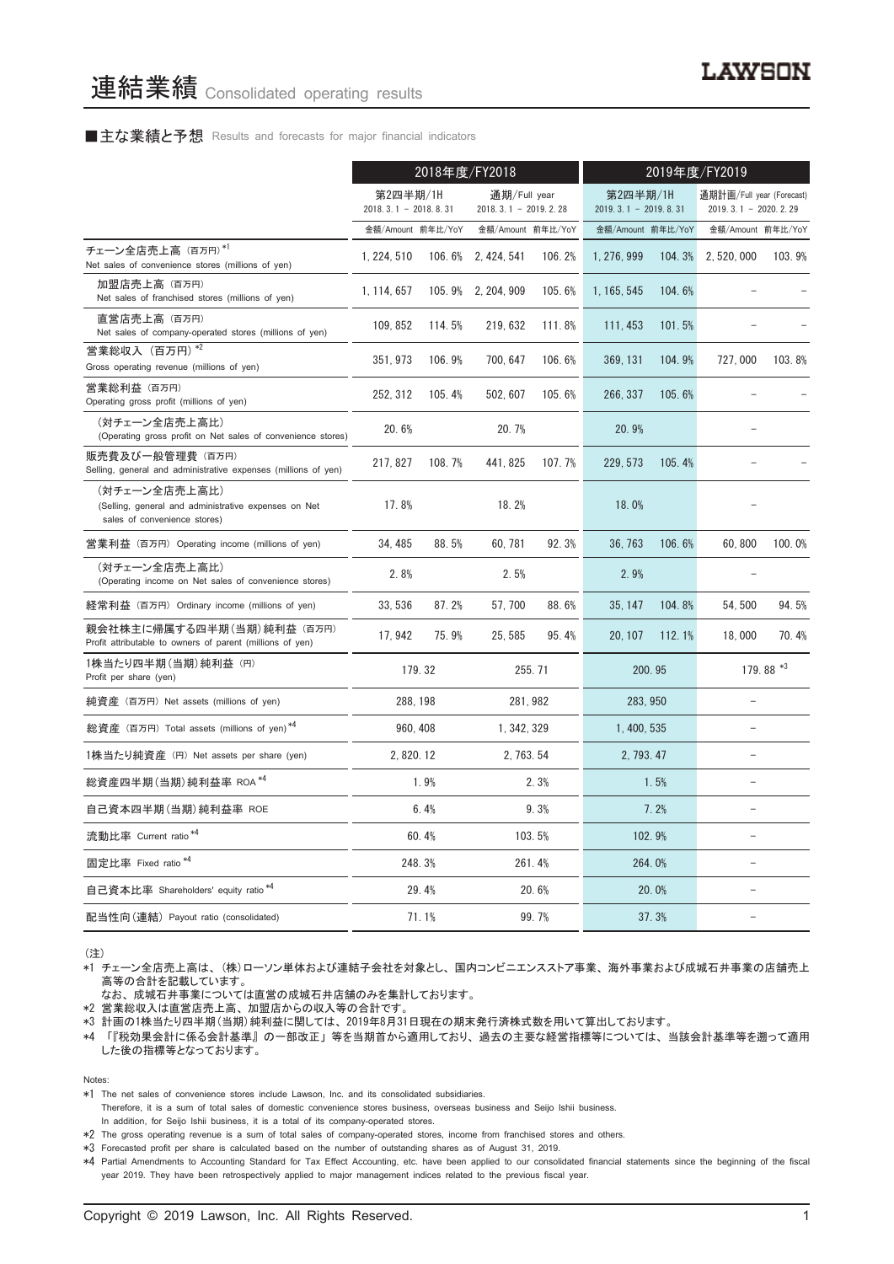#### ■主な業績と予想 Results and forecasts for major financial indicators

|                                                                                                       | 2018年度/FY2018                      |        |                                        | 2019年度/FY2019 |                                    |        |                                                       |           |
|-------------------------------------------------------------------------------------------------------|------------------------------------|--------|----------------------------------------|---------------|------------------------------------|--------|-------------------------------------------------------|-----------|
|                                                                                                       | 第2四半期/1H<br>$2018.3.1 - 2018.8.31$ |        | 通期/Full year<br>$2018.3.1 - 2019.2.28$ |               | 第2四半期/1H<br>$2019.3.1 - 2019.8.31$ |        | 通期計画/Full year (Forecast)<br>2019. 3. 1 - 2020. 2. 29 |           |
|                                                                                                       | 金額/Amount 前年比/YoY                  |        | 金額/Amount 前年比/YoY                      |               | 金額/Amount 前年比/YoY                  |        | 金額/Amount 前年比/YoY                                     |           |
| チェーン全店売上高 (百万円)*1<br>Net sales of convenience stores (millions of yen)                                | 1, 224, 510                        |        | 106.6% 2.424.541                       | 106.2%        | 1, 276, 999                        | 104.3% | 2, 520, 000                                           | 103.9%    |
| 加盟店売上高(百万円)<br>Net sales of franchised stores (millions of yen)                                       | 1.114.657                          |        | 105.9% 2.204.909                       | 105.6%        | 1.165.545                          | 104.6% |                                                       |           |
| 直営店売上高(百万円)<br>Net sales of company-operated stores (millions of yen)                                 | 109, 852                           | 114.5% | 219, 632                               | 111.8%        | 111, 453                           | 101.5% |                                                       |           |
| 営業総収入 (百万円) *2<br>Gross operating revenue (millions of yen)                                           | 351, 973                           | 106.9% | 700, 647                               | 106.6%        | 369, 131                           | 104.9% | 727,000                                               | 103.8%    |
| 営業総利益 (百万円)<br>Operating gross profit (millions of yen)                                               | 252, 312                           | 105.4% | 502, 607                               | 105.6%        | 266, 337                           | 105.6% |                                                       |           |
| (対チェーン全店売上高比)<br>(Operating gross profit on Net sales of convenience stores)                          | 20.6%                              |        | 20.7%                                  |               | 20.9%                              |        |                                                       |           |
| 販売費及び一般管理費(百万円)<br>Selling, general and administrative expenses (millions of yen)                     | 217, 827                           | 108.7% | 441, 825                               | 107.7%        | 229, 573                           | 105.4% |                                                       |           |
| (対チェーン全店売上高比)<br>(Selling, general and administrative expenses on Net<br>sales of convenience stores) | 17.8%                              |        | 18.2%                                  |               | 18.0%                              |        |                                                       |           |
| 営業利益 (百万円) Operating income (millions of yen)                                                         | 34, 485                            | 88.5%  | 60, 781                                | 92.3%         | 36, 763                            | 106.6% | 60,800                                                | 100.0%    |
| (対チェーン全店売上高比)<br>(Operating income on Net sales of convenience stores)                                | 2.8%                               |        | 2.5%                                   |               | 2.9%                               |        |                                                       |           |
| 経常利益(百万円)Ordinary income (millions of yen)                                                            | 33, 536                            | 87.2%  | 57, 700                                | 88.6%         | 35, 147                            | 104.8% | 54, 500                                               | 94.5%     |
| 親会社株主に帰属する四半期 (当期) 純利益 (百万円)<br>Profit attributable to owners of parent (millions of yen)             | 17.942                             | 75.9%  | 25.585                                 | 95.4%         | 20.107                             | 112.1% | 18,000                                                | 70.4%     |
| 1株当たり四半期 (当期) 純利益 (円)<br>Profit per share (yen)                                                       |                                    | 179.32 |                                        | 255.71        |                                    | 200.95 |                                                       | 179.88 *3 |
| 純資産 (百万円) Net assets (millions of yen)                                                                | 288, 198                           |        |                                        | 281, 982      | 283, 950                           |        |                                                       |           |
| 総資産 (百万円) Total assets (millions of yen)*4                                                            | 960, 408                           |        | 1, 342, 329                            |               | 1, 400, 535                        |        | $\overline{a}$                                        |           |
| 1株当たり純資産 (円) Net assets per share (yen)                                                               | 2, 820, 12                         |        | 2, 763, 54                             |               | 2, 793, 47                         |        |                                                       |           |
| 総資産四半期(当期) 純利益率 ROA *4                                                                                |                                    | 1.9%   |                                        | 2.3%          |                                    | 1.5%   |                                                       |           |
| 自己資本四半期(当期) 純利益率 ROE                                                                                  |                                    | 6.4%   |                                        | 9.3%          |                                    | 7.2%   |                                                       |           |
| 流動比率 Current ratio <sup>*4</sup>                                                                      |                                    | 60.4%  |                                        | 103.5%        |                                    | 102.9% | $\overline{a}$                                        |           |
| 固定比率 Fixed ratio <sup>*4</sup>                                                                        |                                    | 248.3% |                                        | 261.4%        |                                    | 264.0% | $\overline{a}$                                        |           |
| 自己資本比率 Shareholders' equity ratio*4                                                                   |                                    | 29.4%  |                                        | 20.6%         |                                    | 20.0%  |                                                       |           |
| 配当性向(連結) Payout ratio (consolidated)                                                                  |                                    | 71.1%  |                                        | 99.7%         |                                    | 37.3%  |                                                       |           |

(注)

\*1 チェーン全店売上高は、 (株)ローソン単体および連結子会社を対象とし、 国内コンビニエンスストア事業、 海外事業および成城石井事業の店舗売上 高等の合計を記載しています。

なお、 成城石井事業については直営の成城石井店舗のみを集計しております。

\*2 営業総収入は直営店売上高、 加盟店からの収入等の合計です。

\*3 計画の1株当たり四半期(当期)純利益に関しては、 2019年8月31日現在の期末発行済株式数を用いて算出しております。

\*4 「『税効果会計に係る会計基準』 の一部改正」 等を当期首から適用しており、 過去の主要な経営指標等については、 当該会計基準等を遡って適用 した後の指標等となっております。

Notes:

\*1 The net sales of convenience stores include Lawson, Inc. and its consolidated subsidiaries.

Therefore, it is a sum of total sales of domestic convenience stores business, overseas business and Seijo Ishii business.

In addition, for Seijo Ishii business, it is a total of its company-operated stores.

\*2 The gross operating revenue is a sum of total sales of company-operated stores, income from franchised stores and others.

\*3 Forecasted profit per share is calculated based on the number of outstanding shares as of August 31, 2019.

\*4 Partial Amendments to Accounting Standard for Tax Effect Accounting, etc. have been applied to our consolidated financial statements since the beginning of the fiscal year 2019. They have been retrospectively applied to major management indices related to the previous fiscal year.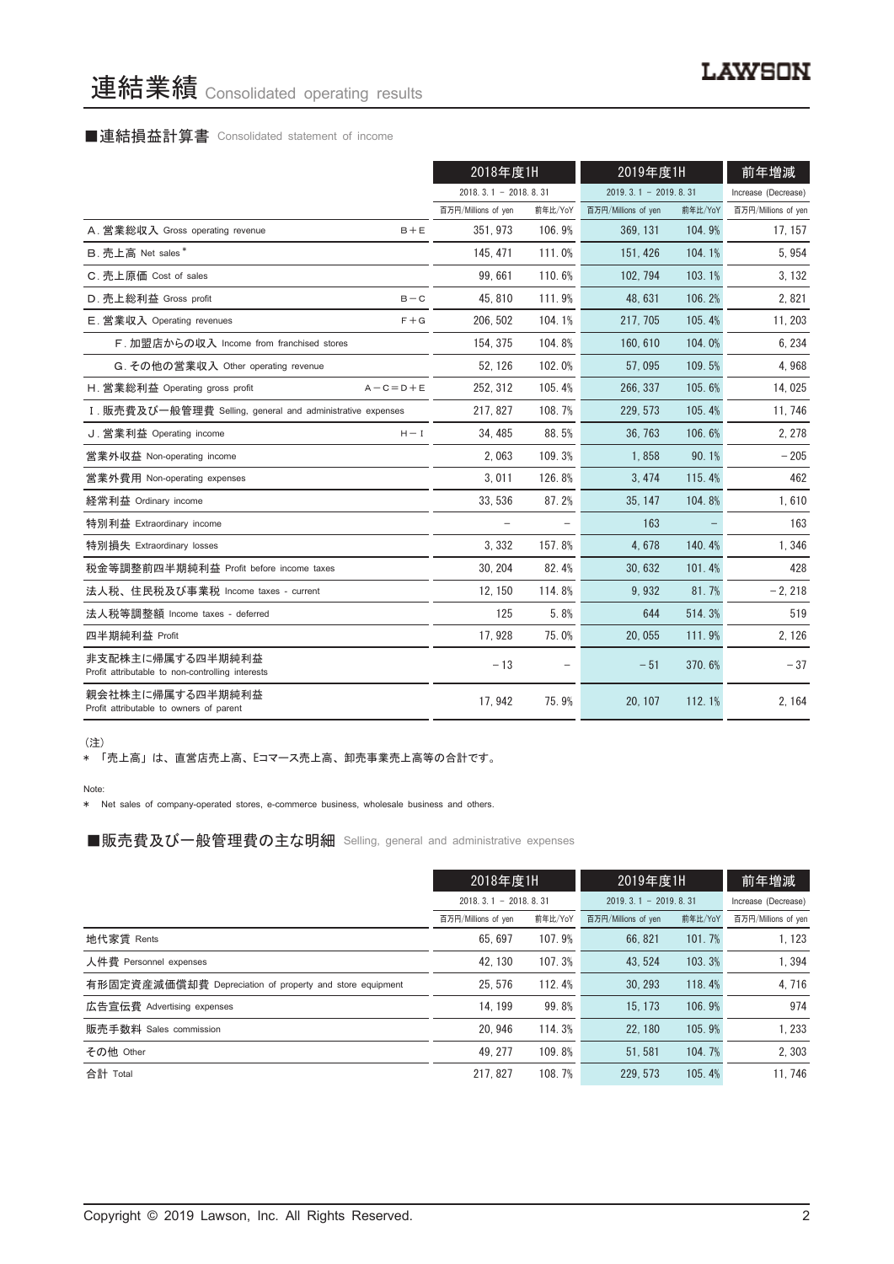# 連結業績 Consolidated operating results

# ■連結損益計算書 Consolidated statement of income

|                                                                      | 2018年度1H                 |         | 2019年度1H               |         | 前年増減                |
|----------------------------------------------------------------------|--------------------------|---------|------------------------|---------|---------------------|
|                                                                      | $2018.3.1 - 2018.8.31$   |         | $2019.3.1 - 2019.8.31$ |         | Increase (Decrease) |
|                                                                      | 百万円/Millions of yen      | 前年比/YoY | 百万円/Millions of yen    | 前年比/YoY | 百万円/Millions of yen |
| A. 営業総収入 Gross operating revenue<br>$B + E$                          | 351, 973                 | 106.9%  | 369, 131               | 104.9%  | 17, 157             |
| B. 売上高 Net sales*                                                    | 145, 471                 | 111.0%  | 151, 426               | 104.1%  | 5,954               |
| C. 売上原価 Cost of sales                                                | 99,661                   | 110.6%  | 102, 794               | 103.1%  | 3, 132              |
| D. 売上総利益 Gross profit<br>$B - C$                                     | 45.810                   | 111.9%  | 48.631                 | 106.2%  | 2,821               |
| E. 営業収入 Operating revenues<br>$F + G$                                | 206.502                  | 104.1%  | 217.705                | 105.4%  | 11, 203             |
| F. 加盟店からの収入 Income from franchised stores                            | 154, 375                 | 104.8%  | 160, 610               | 104.0%  | 6, 234              |
| G. その他の営業収入 Other operating revenue                                  | 52, 126                  | 102.0%  | 57.095                 | 109.5%  | 4,968               |
| H. 営業総利益 Operating gross profit<br>$A - C = D + E$                   | 252, 312                 | 105.4%  | 266, 337               | 105.6%  | 14,025              |
| I. 販売費及び一般管理費 Selling, general and administrative expenses           | 217.827                  | 108.7%  | 229.573                | 105.4%  | 11, 746             |
| J. 営業利益 Operating income<br>$H - I$                                  | 34.485                   | 88.5%   | 36.763                 | 106.6%  | 2, 278              |
| 営業外収益 Non-operating income                                           | 2.063                    | 109.3%  | 1.858                  | 90.1%   | $-205$              |
| 営業外費用 Non-operating expenses                                         | 3,011                    | 126.8%  | 3, 474                 | 115.4%  | 462                 |
| 経常利益 Ordinary income                                                 | 33, 536                  | 87.2%   | 35, 147                | 104.8%  | 1,610               |
| 特別利益 Extraordinary income                                            | $\overline{\phantom{0}}$ |         | 163                    |         | 163                 |
| 特別損失 Extraordinary losses                                            | 3.332                    | 157.8%  | 4.678                  | 140.4%  | 1,346               |
| 税金等調整前四半期純利益 Profit before income taxes                              | 30, 204                  | 82.4%   | 30, 632                | 101.4%  | 428                 |
| 法人税、住民税及び事業税 Income taxes - current                                  | 12, 150                  | 114.8%  | 9,932                  | 81.7%   | $-2, 218$           |
| 法人税等調整額 Income taxes - deferred                                      | 125                      | 5.8%    | 644                    | 514.3%  | 519                 |
| 四半期純利益 Profit                                                        | 17,928                   | 75.0%   | 20,055                 | 111.9%  | 2, 126              |
| 非支配株主に帰属する四半期純利益<br>Profit attributable to non-controlling interests | $-13$                    |         | $-51$                  | 370.6%  | $-37$               |
| 親会社株主に帰属する四半期純利益<br>Profit attributable to owners of parent          | 17, 942                  | 75.9%   | 20, 107                | 112.1%  | 2, 164              |

(注)

\* 「売上高」 は、 直営店売上高、 Eコマース売上高、 卸売事業売上高等の合計です。

Note:

\* Net sales of company-operated stores, e-commerce business, wholesale business and others.

■販売費及び一般管理費の主な明細 Selling, general and administrative expenses

|                                                          | 2019年度1H<br>2018年度1H   |         | 前年増減                   |         |                     |
|----------------------------------------------------------|------------------------|---------|------------------------|---------|---------------------|
|                                                          | $2018.3.1 - 2018.8.31$ |         | $2019.3.1 - 2019.8.31$ |         | Increase (Decrease) |
|                                                          | 百万円/Millions of yen    | 前年比/YoY | 百万円/Millions of yen    | 前年比/YoY | 百万円/Millions of yen |
| 地代家賃 Rents                                               | 65.697                 | 107.9%  | 66, 821                | 101.7%  | 1.123               |
| 人件費 Personnel expenses                                   | 42.130                 | 107.3%  | 43.524                 | 103.3%  | 1.394               |
| 有形固定資産減価償却費 Depreciation of property and store equipment | 25.576                 | 112.4%  | 30.293                 | 118.4%  | 4.716               |
| 広告宣伝費 Advertising expenses                               | 14.199                 | 99.8%   | 15.173                 | 106.9%  | 974                 |
| 販売手数料 Sales commission                                   | 20.946                 | 114.3%  | 22.180                 | 105.9%  | 1.233               |
| その他 Other                                                | 49.277                 | 109.8%  | 51.581                 | 104.7%  | 2,303               |
| 合計 Total                                                 | 217.827                | 108.7%  | 229.573                | 105.4%  | 11.746              |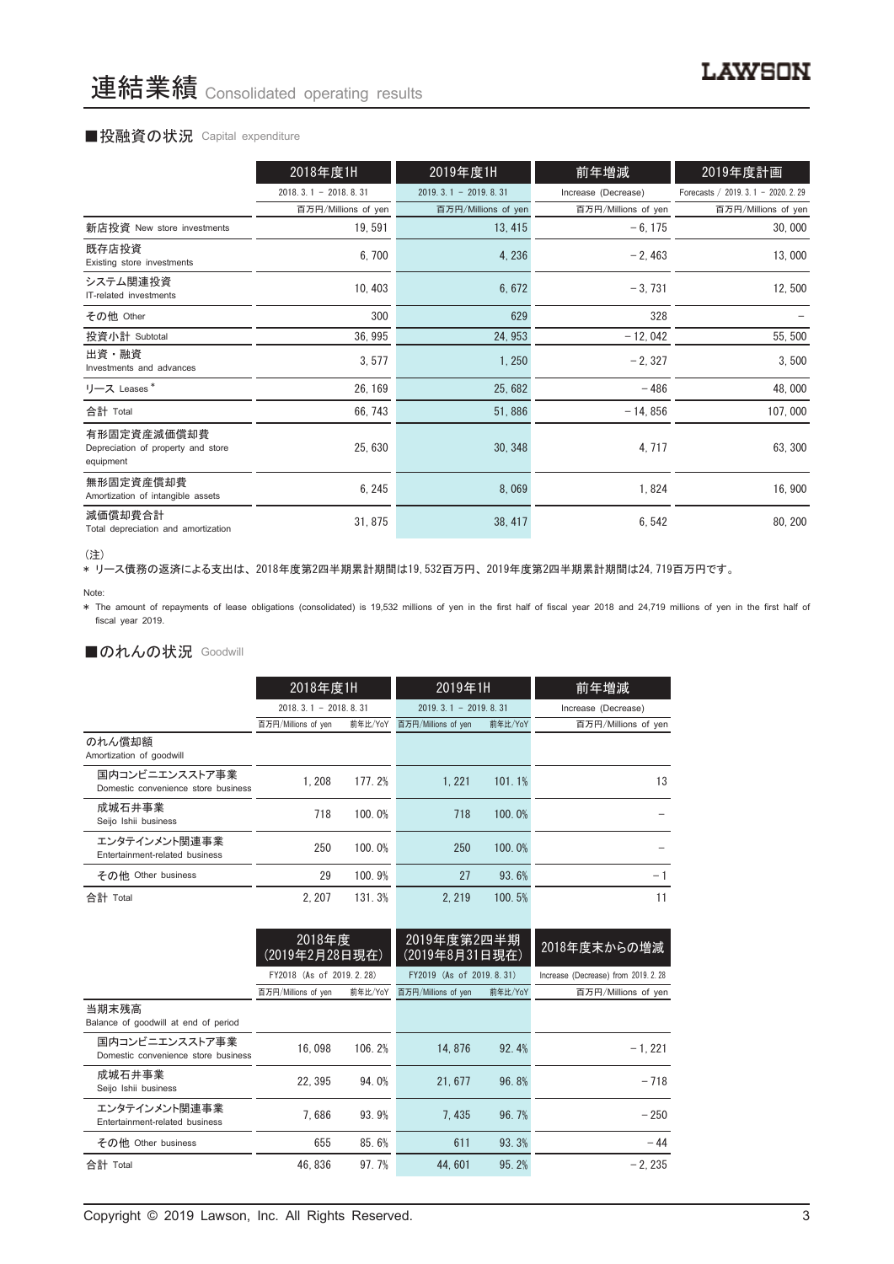#### ■投融資の状況 Capital expenditure

|                                                                | 2018年度1H               | 2019年度1H               | 前年増減                | 2019年度計画                             |
|----------------------------------------------------------------|------------------------|------------------------|---------------------|--------------------------------------|
|                                                                | $2018.3.1 - 2018.8.31$ | $2019.3.1 - 2019.8.31$ | Increase (Decrease) | Forecasts / 2019. 3. 1 - 2020. 2. 29 |
|                                                                | 百万円/Millions of yen    | 百万円/Millions of yen    | 百万円/Millions of yen | 百万円/Millions of yen                  |
| 新店投資 New store investments                                     | 19,591                 | 13, 415                | $-6, 175$           | 30,000                               |
| 既存店投資<br>Existing store investments                            | 6,700                  | 4, 236                 | $-2,463$            | 13,000                               |
| システム関連投資<br>IT-related investments                             | 10, 403                | 6,672                  | $-3.731$            | 12,500                               |
| その他 Other                                                      | 300                    | 629                    | 328                 |                                      |
| 投資小計 Subtotal                                                  | 36, 995                | 24, 953                | $-12,042$           | 55, 500                              |
| 出資・融資<br>Investments and advances                              | 3,577                  | 1,250                  | $-2, 327$           | 3,500                                |
| リース Leases*                                                    | 26, 169                | 25,682                 | $-486$              | 48,000                               |
| 合計 Total                                                       | 66, 743                | 51,886                 | $-14,856$           | 107,000                              |
| 有形固定資産減価償却費<br>Depreciation of property and store<br>equipment | 25, 630                | 30, 348                | 4, 717              | 63, 300                              |
| 無形固定資産償却費<br>Amortization of intangible assets                 | 6, 245                 | 8,069                  | 1,824               | 16,900                               |
| 減価償却費合計<br>Total depreciation and amortization                 | 31, 875                | 38, 417                | 6,542               | 80, 200                              |

<sup>(</sup>注)

、----<br>\* リース債務の返済による支出は、2018年度第2四半期累計期間は19,532百万円、2019年度第2四半期累計期間は24,719百万円です。

\* The amount of repayments of lease obligations (consolidated) is 19,532 millions of yen in the first half of fiscal year 2018 and 24,719 millions of yen in the first half of fiscal year 2019.

### ■のれんの状況 Goodwill

|                                                       | 2018年度1H               |         | 2019年1H                |         | 前年増減                |
|-------------------------------------------------------|------------------------|---------|------------------------|---------|---------------------|
|                                                       | $2018.3.1 - 2018.8.31$ |         | $2019.3.1 - 2019.8.31$ |         | Increase (Decrease) |
|                                                       | 百万円/Millions of yen    | 前年比/YoY | 百万円/Millions of yen    | 前年比/YoY | 百万円/Millions of yen |
| のれん償却額<br>Amortization of goodwill                    |                        |         |                        |         |                     |
| 国内コンビニエンスストア事業<br>Domestic convenience store business | 1.208                  | 177.2%  | 1.221                  | 101.1%  | 13                  |
| 成城石井事業<br>Seijo Ishii business                        | 718                    | 100.0%  | 718                    | 100.0%  |                     |
| エンタテインメント関連事業<br>Entertainment-related business       | 250                    | 100.0%  | 250                    | 100.0%  |                     |
| その他 Other business                                    | 29                     | 100.9%  | 27                     | 93.6%   | - 1                 |
| 合計 Total                                              | 2.207                  | 131.3%  | 2.219                  | 100.5%  | 11                  |

|                                                       | 2018年度<br><u>(2019年2月28日現在)</u> |         | 2019年度第2四半期<br>(2019年8月31日現在) |         | 2018年度末からの増減                         |
|-------------------------------------------------------|---------------------------------|---------|-------------------------------|---------|--------------------------------------|
|                                                       | FY2018 (As of 2019.2.28)        |         | FY2019 (As of 2019, 8, 31)    |         | Increase (Decrease) from 2019, 2, 28 |
|                                                       | 百万円/Millions of yen             | 前年比/YoY | 百万円/Millions of yen           | 前年比/YoY | 百万円/Millions of yen                  |
| 当期末残高<br>Balance of goodwill at end of period         |                                 |         |                               |         |                                      |
| 国内コンビニエンスストア事業<br>Domestic convenience store business | 16.098                          | 106.2%  | 14.876                        | 92.4%   | $-1.221$                             |
| 成城石井事業<br>Seijo Ishii business                        | 22.395                          | 94.0%   | 21.677                        | 96.8%   | $-718$                               |
| エンタテインメント関連事業<br>Entertainment-related business       | 7.686                           | 93.9%   | 7.435                         | 96.7%   | $-250$                               |
| その他 Other business                                    | 655                             | 85.6%   | 611                           | 93.3%   | $-44$                                |
| 合計 Total                                              | 46.836                          | 97.7%   | 44.601                        | 95.2%   | $-2.235$                             |

Note: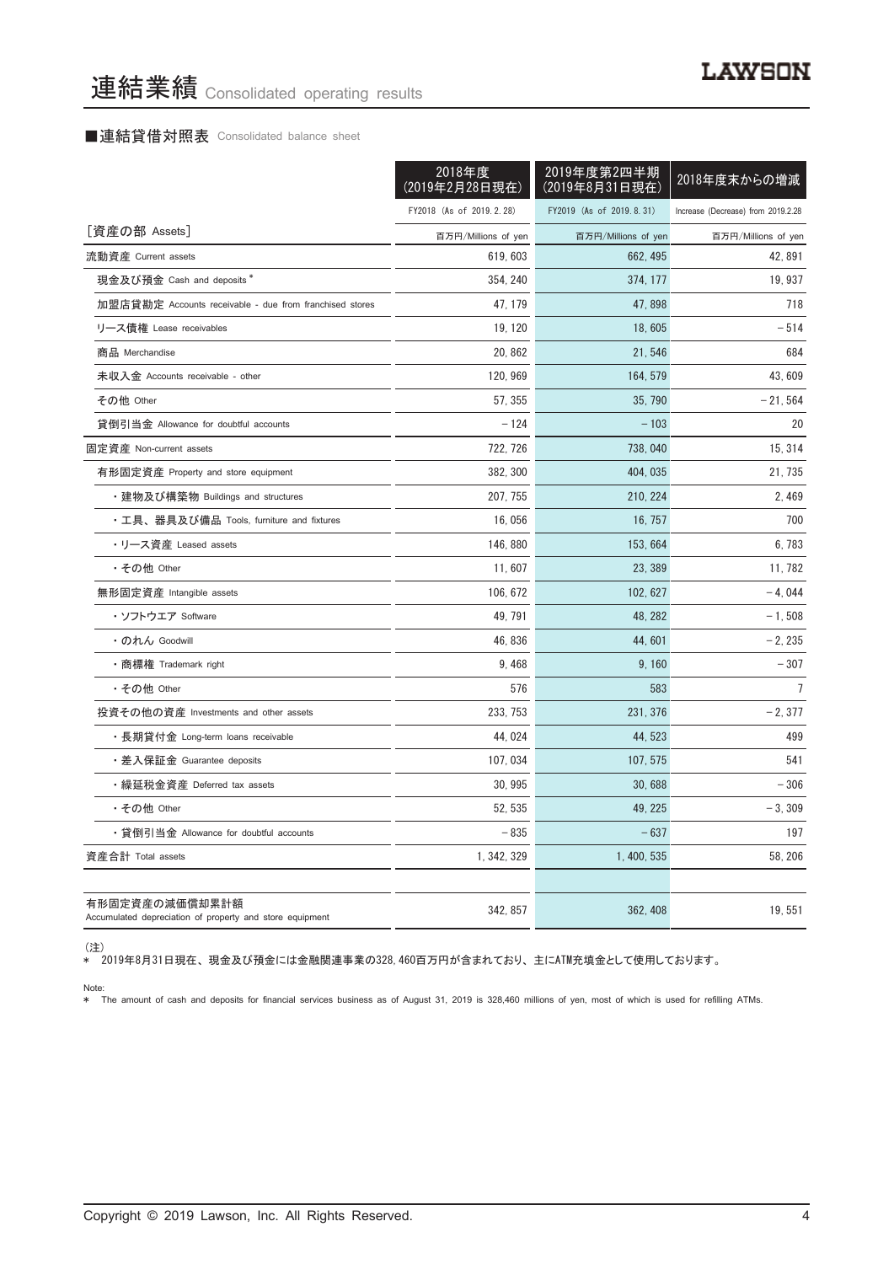#### ■連結貸借対照表 Consolidated balance sheet

|                                                                            | 2018年度<br>(2019年2月28日現在) | 2019年度第2四半期<br>(2019年8月31日現在) | 2018年度末からの増減                       |
|----------------------------------------------------------------------------|--------------------------|-------------------------------|------------------------------------|
|                                                                            | FY2018 (As of 2019.2.28) | FY2019 (As of 2019.8.31)      | Increase (Decrease) from 2019.2.28 |
| [資産の部 Assets]                                                              | 百万円/Millions of yen      | 百万円/Millions of yen           | 百万円/Millions of yen                |
| 流動資産 Current assets                                                        | 619, 603                 | 662, 495                      | 42, 891                            |
| 現金及び預金 Cash and deposits *                                                 | 354, 240                 | 374, 177                      | 19, 937                            |
| 加盟店貸勘定 Accounts receivable - due from franchised stores                    | 47, 179                  | 47,898                        | 718                                |
| リース債権 Lease receivables                                                    | 19, 120                  | 18,605                        | $-514$                             |
| 商品 Merchandise                                                             | 20, 862                  | 21,546                        | 684                                |
| 未収入金 Accounts receivable - other                                           | 120, 969                 | 164, 579                      | 43,609                             |
| その他 Other                                                                  | 57, 355                  | 35, 790                       | $-21,564$                          |
| 貸倒引当金 Allowance for doubtful accounts                                      | $-124$                   | $-103$                        | 20                                 |
| 固定資産 Non-current assets                                                    | 722, 726                 | 738, 040                      | 15, 314                            |
| 有形固定資産 Property and store equipment                                        | 382, 300                 | 404, 035                      | 21, 735                            |
| ・建物及び構築物 Buildings and structures                                          | 207, 755                 | 210, 224                      | 2,469                              |
| ・工具、器具及び備品 Tools, furniture and fixtures                                   | 16,056                   | 16, 757                       | 700                                |
| ・リース資産 Leased assets                                                       | 146, 880                 | 153, 664                      | 6,783                              |
| ・その他 Other                                                                 | 11,607                   | 23, 389                       | 11, 782                            |
| 無形固定資産 Intangible assets                                                   | 106, 672                 | 102, 627                      | $-4.044$                           |
| ・ソフトウエア Software                                                           | 49.791                   | 48, 282                       | $-1,508$                           |
| • のれん Goodwill                                                             | 46, 836                  | 44,601                        | $-2,235$                           |
| • 商標権 Trademark right                                                      | 9,468                    | 9,160                         | $-307$                             |
| ・その他 Other                                                                 | 576                      | 583                           | $\overline{1}$                     |
| 投資その他の資産 Investments and other assets                                      | 233, 753                 | 231, 376                      | $-2,377$                           |
| ・長期貸付金 Long-term loans receivable                                          | 44, 024                  | 44, 523                       | 499                                |
| ・差入保証金 Guarantee deposits                                                  | 107, 034                 | 107, 575                      | 541                                |
| ・繰延税金資産 Deferred tax assets                                                | 30, 995                  | 30,688                        | $-306$                             |
| • その他 Other                                                                | 52.535                   | 49, 225                       | $-3,309$                           |
| ・貸倒引当金 Allowance for doubtful accounts                                     | $-835$                   | $-637$                        | 197                                |
| 資産合計 Total assets                                                          | 1, 342, 329              | 1, 400, 535                   | 58, 206                            |
| 有形固定資産の減価償却累計額<br>Accumulated depreciation of property and store equipment | 342, 857                 | 362, 408                      | 19,551                             |

(注)

\* 2019年8月31日現在、 現金及び預金には金融関連事業の328,460百万円が含まれており、 主にATM充填金として使用しております。

Note: \* The amount of cash and deposits for financial services business as of August 31, 2019 is 328,460 millions of yen, most of which is used for refilling ATMs.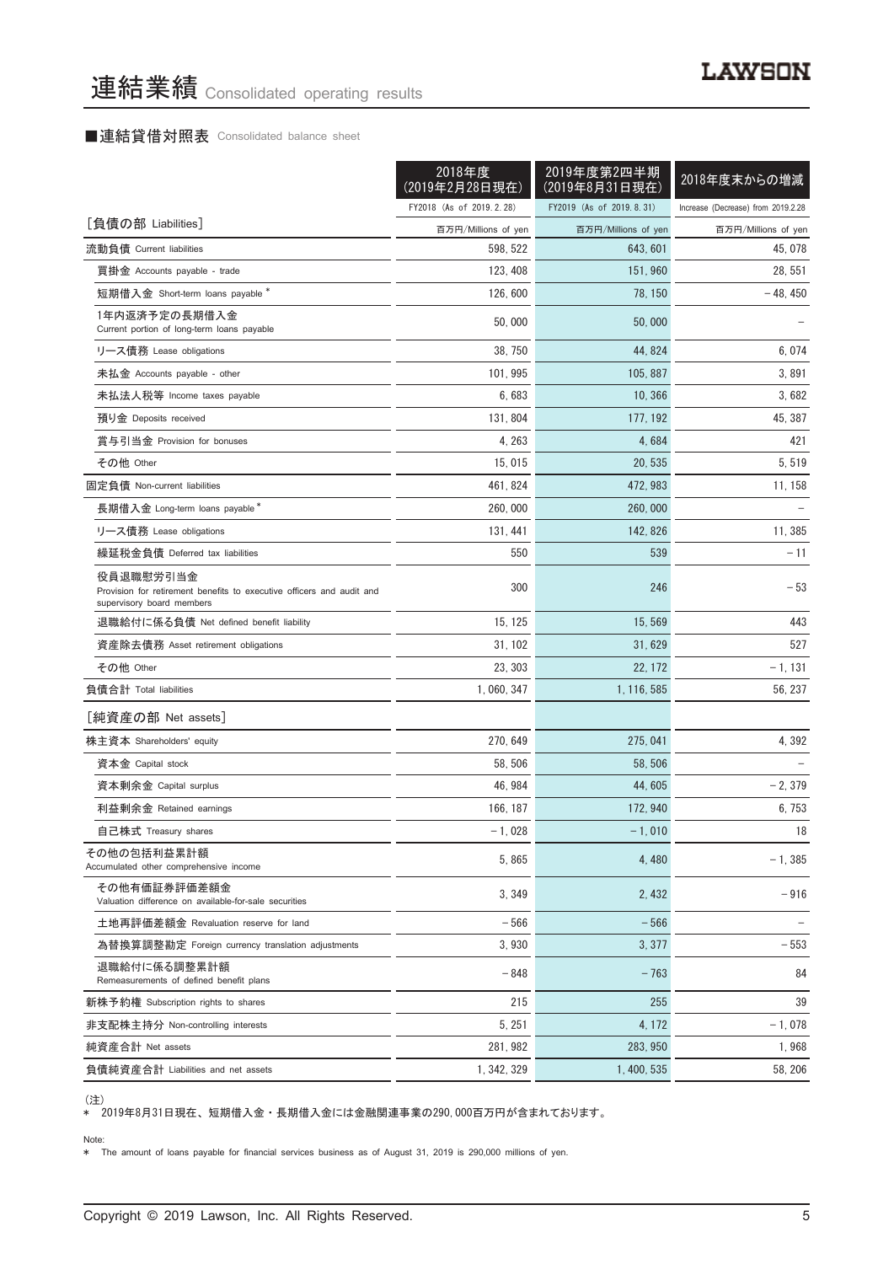#### ■連結貸借対照表 Consolidated balance sheet

|                                                                                                                 | 2018年度<br>(2019年2月28日現在) | 2019年度第2四半期<br>(2019年8月31日現在) | 2018年度末からの増減                       |
|-----------------------------------------------------------------------------------------------------------------|--------------------------|-------------------------------|------------------------------------|
|                                                                                                                 | FY2018 (As of 2019.2.28) | FY2019 (As of 2019.8.31)      | Increase (Decrease) from 2019.2.28 |
| [負債の部 Liabilities]                                                                                              | 百万円/Millions of yen      | 百万円/Millions of yen           | 百万円/Millions of yen                |
| 流動負債 Current liabilities                                                                                        | 598, 522                 | 643, 601                      | 45, 078                            |
| 買掛金 Accounts payable - trade                                                                                    | 123, 408                 | 151, 960                      | 28, 551                            |
| 短期借入金 Short-term loans payable *                                                                                | 126, 600                 | 78, 150                       | - 48, 450                          |
| 1年内返済予定の長期借入金<br>Current portion of long-term loans payable                                                     | 50,000                   | 50,000                        |                                    |
| リース債務 Lease obligations                                                                                         | 38, 750                  | 44, 824                       | 6,074                              |
| 未払金 Accounts payable - other                                                                                    | 101, 995                 | 105, 887                      | 3,891                              |
| 未払法人税等 Income taxes payable                                                                                     | 6,683                    | 10, 366                       | 3,682                              |
| 預り金 Deposits received                                                                                           | 131, 804                 | 177, 192                      | 45, 387                            |
| 賞与引当金 Provision for bonuses                                                                                     | 4, 263                   | 4,684                         | 421                                |
| その他 Other                                                                                                       | 15,015                   | 20, 535                       | 5.519                              |
| 固定負債 Non-current liabilities                                                                                    | 461, 824                 | 472, 983                      | 11, 158                            |
| 長期借入金 Long-term loans payable*                                                                                  | 260, 000                 | 260,000                       |                                    |
| リース債務 Lease obligations                                                                                         | 131, 441                 | 142, 826                      | 11,385                             |
| 繰延税金負債 Deferred tax liabilities                                                                                 | 550                      | 539                           | $-11$                              |
| 役員退職慰労引当金<br>Provision for retirement benefits to executive officers and audit and<br>supervisory board members | 300                      | 246                           | $-53$                              |
| 退職給付に係る負債 Net defined benefit liability                                                                         | 15, 125                  | 15, 569                       | 443                                |
| 資産除去債務 Asset retirement obligations                                                                             | 31, 102                  | 31,629                        | 527                                |
| その他 Other                                                                                                       | 23, 303                  | 22, 172                       | $-1, 131$                          |
| 負債合計 Total liabilities                                                                                          | 1, 060, 347              | 1, 116, 585                   | 56, 237                            |
| [純資産の部 Net assets]                                                                                              |                          |                               |                                    |
| 株主資本 Shareholders' equity                                                                                       | 270, 649                 | 275, 041                      | 4,392                              |
| 資本金 Capital stock                                                                                               | 58, 506                  | 58, 506                       |                                    |
| 資本剰余金 Capital surplus                                                                                           | 46, 984                  | 44, 605                       | $-2,379$                           |
| 利益剰余金 Retained earnings                                                                                         | 166, 187                 | 172, 940                      | 6,753                              |
| 自己株式 Treasury shares                                                                                            | $-1,028$                 | $-1,010$                      | 18                                 |
| その他の包括利益累計額<br>Accumulated other comprehensive income                                                           | 5.865                    | 4,480                         | $-1, 385$                          |
| その他有価証券評価差額金<br>Valuation difference on available-for-sale securities                                           | 3, 349                   | 2, 432                        | $-916$                             |
| 土地再評価差額金 Revaluation reserve for land                                                                           | $-566$                   | $-566$                        |                                    |
| 為替換算調整勘定 Foreign currency translation adjustments                                                               | 3,930                    | 3, 377                        | $-553$                             |
| 退職給付に係る調整累計額<br>Remeasurements of defined benefit plans                                                         | - 848                    | $-763$                        | 84                                 |
| 新株予約権 Subscription rights to shares                                                                             | 215                      | 255                           | 39                                 |
| 非支配株主持分 Non-controlling interests                                                                               | 5, 251                   | 4, 172                        | $-1,078$                           |
| 純資産合計 Net assets                                                                                                | 281, 982                 | 283, 950                      | 1,968                              |
| 負債純資産合計 Liabilities and net assets                                                                              | 1, 342, 329              | 1, 400, 535                   | 58, 206                            |

<sup>(</sup>注)

\* 2019年8月31日現在、 短期借入金 ・ 長期借入金には金融関連事業の290,000百万円が含まれております。

Note: \* The amount of loans payable for financial services business as of August 31, 2019 is 290,000 millions of yen.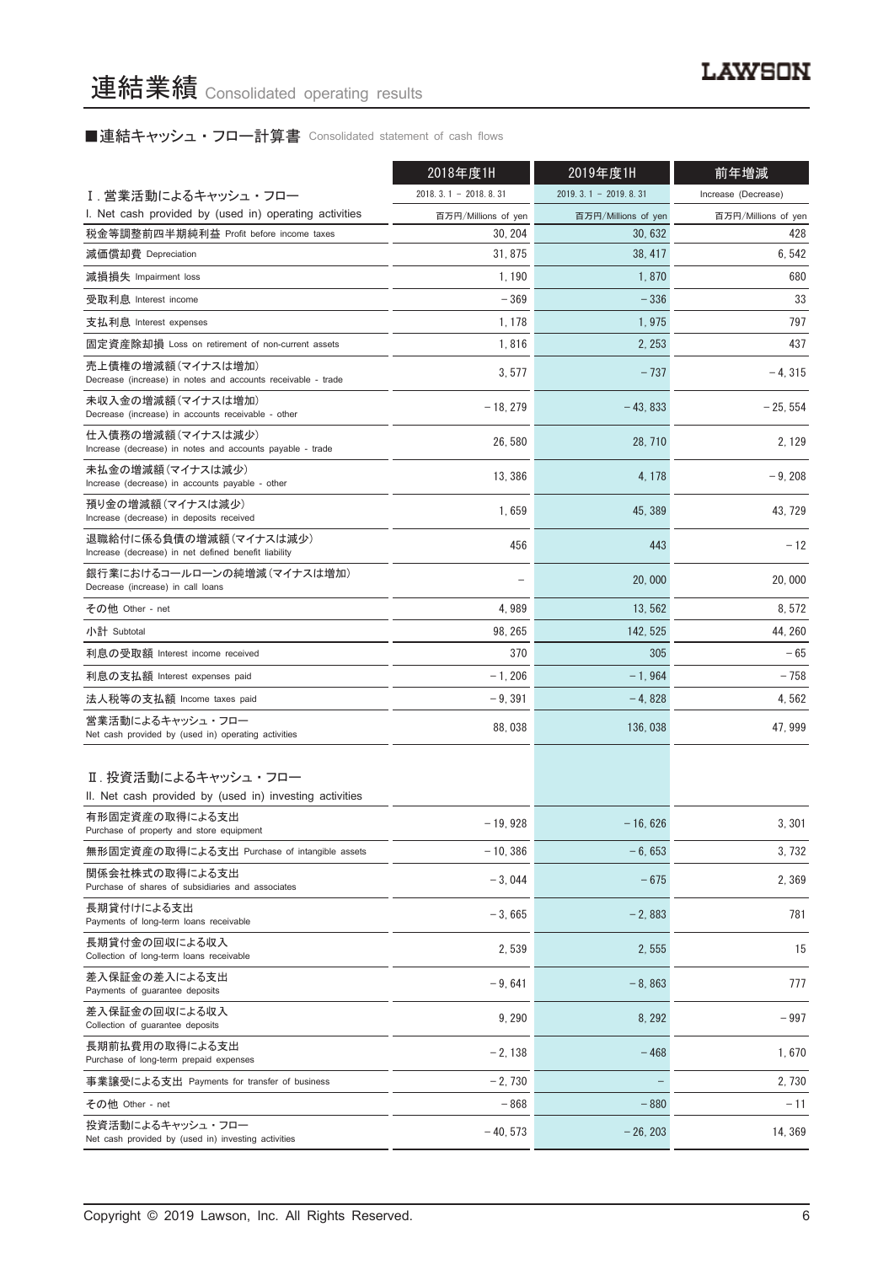# ■連結キャッシュ・フロー計算書 Consolidated statement of cash flows

|                                                                                   | 2018年度1H               | 2019年度1H               | 前年増減                |
|-----------------------------------------------------------------------------------|------------------------|------------------------|---------------------|
| Ⅰ. 営業活動によるキャッシュ・フロー                                                               | $2018.3.1 - 2018.8.31$ | $2019.3.1 - 2019.8.31$ | Increase (Decrease) |
| I. Net cash provided by (used in) operating activities                            | 百万円/Millions of yen    | 百万円/Millions of yen    | 百万円/Millions of yen |
| 税金等調整前四半期純利益 Profit before income taxes                                           | 30, 204                | 30, 632                | 428                 |
| 減価償却費 Depreciation                                                                | 31, 875                | 38, 417                | 6,542               |
| 減損損失 Impairment loss                                                              | 1, 190                 | 1,870                  | 680                 |
| 受取利息 Interest income                                                              | $-369$                 | $-336$                 | 33                  |
| 支払利息 Interest expenses                                                            | 1, 178                 | 1,975                  | 797                 |
| 固定資産除却損 Loss on retirement of non-current assets                                  | 1,816                  | 2, 253                 | 437                 |
| 売上債権の増減額(マイナスは増加)<br>Decrease (increase) in notes and accounts receivable - trade | 3,577                  | $-737$                 | $-4, 315$           |
| 未収入金の増減額(マイナスは増加)<br>Decrease (increase) in accounts receivable - other           | $-18, 279$             | $-43,833$              | $-25, 554$          |
| 仕入債務の増減額(マイナスは減少)<br>Increase (decrease) in notes and accounts payable - trade    | 26,580                 | 28, 710                | 2, 129              |
| 未払金の増減額(マイナスは減少)<br>Increase (decrease) in accounts payable - other               | 13, 386                | 4, 178                 | $-9,208$            |
| 預り金の増減額 (マイナスは減少)<br>Increase (decrease) in deposits received                     | 1,659                  | 45, 389                | 43, 729             |
| 退職給付に係る負債の増減額(マイナスは減少)<br>Increase (decrease) in net defined benefit liability    | 456                    | 443                    | $-12$               |
| 銀行業におけるコールローンの純増減(マイナスは増加)<br>Decrease (increase) in call loans                   |                        | 20,000                 | 20,000              |
| その他 Other - net                                                                   | 4,989                  | 13,562                 | 8,572               |
| 小計 Subtotal                                                                       | 98, 265                | 142, 525               | 44, 260             |
| 利息の受取額 Interest income received                                                   | 370                    | 305                    | $-65$               |
| 利息の支払額 Interest expenses paid                                                     | $-1,206$               | $-1,964$               | $-758$              |
| 法人税等の支払額 Income taxes paid                                                        | $-9,391$               | $-4,828$               | 4,562               |
| 営業活動によるキャッシュ・フロー<br>Net cash provided by (used in) operating activities           | 88,038                 | 136,038                | 47, 999             |
| Ⅱ. 投資活動によるキャッシュ・フロー<br>II. Net cash provided by (used in) investing activities    |                        |                        |                     |
| 有形固定資産の取得による支出<br>Purchase of property and store equipment                        | $-19,928$              | $-16,626$              | 3, 301              |
| 無形固定資産の取得による支出 Purchase of intangible assets                                      | $-10, 386$             | $-6,653$               | 3,732               |
| 関係会社株式の取得による支出<br>Purchase of shares of subsidiaries and associates               | $-3,044$               | $-675$                 | 2,369               |
| 長期貸付けによる支出<br>Payments of long-term loans receivable                              | $-3.665$               | $-2,883$               | 781                 |
| 長期貸付金の回収による収入<br>Collection of long-term loans receivable                         | 2,539                  | 2,555                  | 15                  |
| 差入保証金の差入による支出<br>Payments of guarantee deposits                                   | $-9,641$               | $-8,863$               | 777                 |
| 差入保証金の回収による収入<br>Collection of guarantee deposits                                 | 9,290                  | 8, 292                 | $-997$              |
| 長期前払費用の取得による支出<br>Purchase of long-term prepaid expenses                          | $-2,138$               | $-468$                 | 1,670               |
| 事業譲受による支出 Payments for transfer of business                                       | $-2,730$               |                        | 2,730               |
| その他 Other - net                                                                   | $-868$                 | $-880$                 | $-11$               |
| 投資活動によるキャッシュ・フロー<br>Net cash provided by (used in) investing activities           | $-40, 573$             | $-26, 203$             | 14, 369             |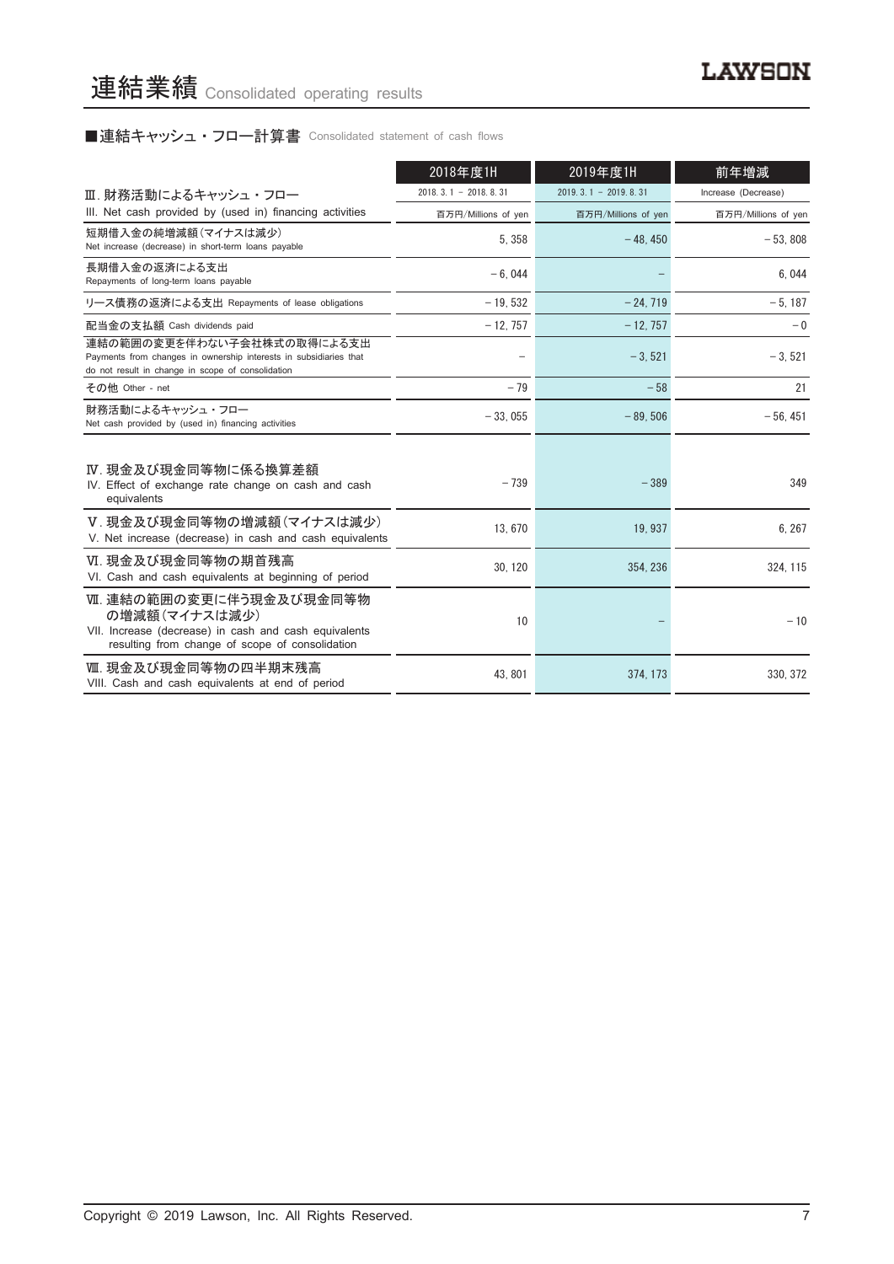# ■連結キャッシュ・フロー計算書 Consolidated statement of cash flows

|                                                                                                                                                      | 2018年度1H               | 2019年度1H               | 前年増減                |
|------------------------------------------------------------------------------------------------------------------------------------------------------|------------------------|------------------------|---------------------|
| Ⅲ.財務活動によるキャッシュ・フロー                                                                                                                                   | $2018.3.1 - 2018.8.31$ | $2019.3.1 - 2019.8.31$ | Increase (Decrease) |
| III. Net cash provided by (used in) financing activities                                                                                             | 百万円/Millions of yen    | 百万円/Millions of yen    | 百万円/Millions of yen |
| 短期借入金の純増減額(マイナスは減少)<br>Net increase (decrease) in short-term loans payable                                                                           | 5, 358                 | $-48.450$              | $-53.808$           |
| 長期借入金の返済による支出<br>Repayments of long-term loans payable                                                                                               | $-6.044$               |                        | 6.044               |
| リース債務の返済による支出 Repayments of lease obligations                                                                                                        | $-19,532$              | $-24, 719$             | $-5, 187$           |
| 配当金の支払額 Cash dividends paid                                                                                                                          | $-12, 757$             | $-12, 757$             | $-0$                |
| 連結の範囲の変更を伴わない子会社株式の取得による支出<br>Payments from changes in ownership interests in subsidiaries that<br>do not result in change in scope of consolidation |                        | $-3.521$               | $-3,521$            |
| その他 Other - net                                                                                                                                      | $-79$                  | $-58$                  | 21                  |
| 財務活動によるキャッシュ・フロー<br>Net cash provided by (used in) financing activities                                                                              | $-33.055$              | $-89.506$              | $-56, 451$          |
| Ⅳ. 現金及び現金同等物に係る換算差額<br>IV. Effect of exchange rate change on cash and cash<br>equivalents                                                            | $-739$                 | $-389$                 | 349                 |
| V.現金及び現金同等物の増減額(マイナスは減少)<br>V. Net increase (decrease) in cash and cash equivalents                                                                  | 13,670                 | 19, 937                | 6, 267              |
| Ⅵ. 現金及び現金同等物の期首残高<br>VI. Cash and cash equivalents at beginning of period                                                                            | 30, 120                | 354, 236               | 324, 115            |
| Ⅶ. 連結の範囲の変更に伴う現金及び現金同等物<br>の増減額(マイナスは減少)<br>VII. Increase (decrease) in cash and cash equivalents<br>resulting from change of scope of consolidation | 10                     |                        | $-10$               |
| Ⅲ. 現金及び現金同等物の四半期末残高<br>VIII. Cash and cash equivalents at end of period                                                                              | 43.801                 | 374, 173               | 330, 372            |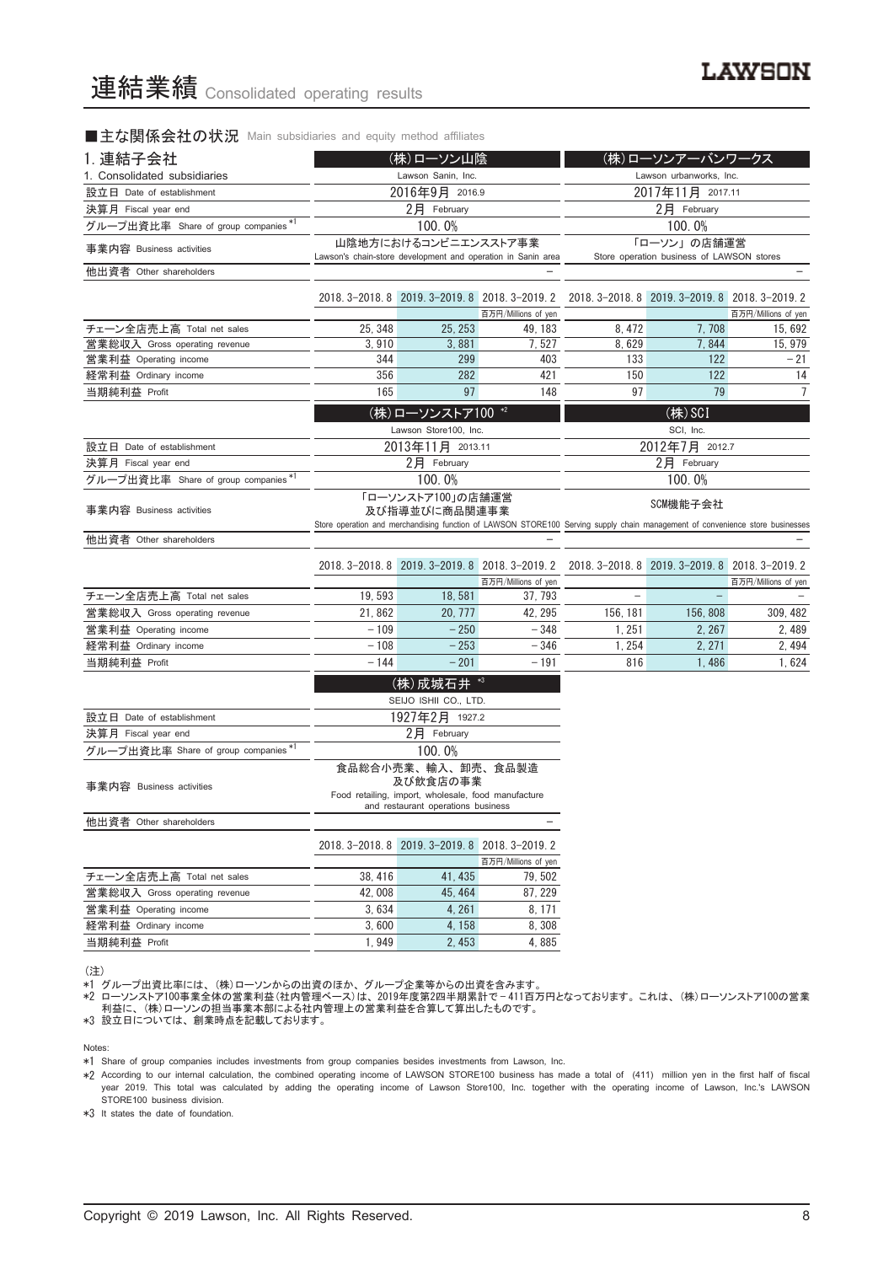#### ■主な関係会社の状況 Main subsidiaries and equity method affiliates

| 1. 連結子会社                             | (株)ローソン山陰                                                                            |                                                     |                                | (株)ローソンアーバンワークス                                                                                                                           |                                                 |                     |  |
|--------------------------------------|--------------------------------------------------------------------------------------|-----------------------------------------------------|--------------------------------|-------------------------------------------------------------------------------------------------------------------------------------------|-------------------------------------------------|---------------------|--|
| 1. Consolidated subsidiaries         | Lawson Sanin, Inc.                                                                   |                                                     |                                |                                                                                                                                           |                                                 |                     |  |
| 設立日 Date of establishment            |                                                                                      | 2016年9月 2016.9                                      |                                | Lawson urbanworks, Inc.<br>2017年11月 2017.11                                                                                               |                                                 |                     |  |
| 決算月 Fiscal year end                  | 2月 February                                                                          |                                                     |                                | 2月 February                                                                                                                               |                                                 |                     |  |
| グループ出資比率 Share of group companies *1 |                                                                                      | 100.0%                                              |                                |                                                                                                                                           | 100.0%                                          |                     |  |
| 事業内容 Business activities             | 山陰地方におけるコンビニエンスストア事業<br>Lawson's chain-store development and operation in Sanin area |                                                     |                                |                                                                                                                                           | 「ローソン」の店舗運営                                     |                     |  |
|                                      |                                                                                      |                                                     |                                |                                                                                                                                           | Store operation business of LAWSON stores       |                     |  |
| 他出資者 Other shareholders              |                                                                                      |                                                     |                                |                                                                                                                                           |                                                 |                     |  |
|                                      |                                                                                      | 2018. 3-2018. 8 2019. 3-2019. 8 2018. 3-2019. 2     |                                |                                                                                                                                           | 2018. 3-2018. 8 2019. 3-2019. 8 2018. 3-2019. 2 | 百万円/Millions of yen |  |
| チェーン全店売上高 Total net sales            | 25, 348                                                                              | 25, 253                                             | 百万円/Millions of yen<br>49, 183 | 8, 472                                                                                                                                    | 7,708                                           | 15, 692             |  |
| 営業総収入 Gross operating revenue        | 3,910                                                                                | 3,881                                               | 7.527                          | 8.629                                                                                                                                     | 7,844                                           | 15, 979             |  |
| 営業利益 Operating income                | 344                                                                                  | 299                                                 | 403                            | 133                                                                                                                                       | 122                                             | $-21$               |  |
| 経常利益 Ordinary income                 | 356                                                                                  | 282                                                 | 421                            | 150                                                                                                                                       | 122                                             | 14                  |  |
| 当期純利益 Profit                         | 165                                                                                  | 97                                                  | 148                            | 97                                                                                                                                        | 79                                              | 7                   |  |
|                                      |                                                                                      | (株)ローソンストア100 *2                                    |                                |                                                                                                                                           | (株) SCI                                         |                     |  |
|                                      |                                                                                      | Lawson Store100, Inc.                               |                                |                                                                                                                                           | SCI, Inc.                                       |                     |  |
| 設立日 Date of establishment            |                                                                                      | 2013年11月 2013.11                                    |                                |                                                                                                                                           | 2012年7月 2012.7                                  |                     |  |
| 決算月 Fiscal year end                  |                                                                                      | 2月 February                                         |                                |                                                                                                                                           | 2月 February                                     |                     |  |
| グループ出資比率 Share of group companies*1  |                                                                                      | 100.0%                                              |                                |                                                                                                                                           | 100.0%                                          |                     |  |
|                                      |                                                                                      | 「ローソンストア100」の店舗運営                                   |                                |                                                                                                                                           |                                                 |                     |  |
| 事業内容 Business activities             |                                                                                      | 及び指導並びに商品関連事業                                       |                                | SCM機能子会社<br>Store operation and merchandising function of LAWSON STORE100 Serving supply chain management of convenience store businesses |                                                 |                     |  |
| 他出資者 Other shareholders              |                                                                                      |                                                     |                                |                                                                                                                                           |                                                 |                     |  |
|                                      |                                                                                      |                                                     |                                |                                                                                                                                           |                                                 |                     |  |
|                                      |                                                                                      | 2018. 3-2018. 8 2019. 3-2019. 8 2018. 3-2019. 2     | 百万円/Millions of yen            |                                                                                                                                           | 2018. 3-2018. 8 2019. 3-2019. 8 2018. 3-2019. 2 | 百万円/Millions of yen |  |
| チェーン全店売上高 Total net sales            | 19, 593                                                                              | 18, 581                                             | 37, 793                        |                                                                                                                                           |                                                 |                     |  |
| 営業総収入 Gross operating revenue        | 21,862                                                                               | 20, 777                                             | 42, 295                        | 156, 181                                                                                                                                  | 156, 808                                        | 309, 482            |  |
| 営業利益 Operating income                | $-109$                                                                               | $-250$                                              | $-348$                         | 1, 251                                                                                                                                    | 2, 267                                          | 2,489               |  |
| 経常利益 Ordinary income                 | $-108$                                                                               | $-253$                                              | $-346$                         | 1, 254                                                                                                                                    | 2, 271                                          | 2, 494              |  |
| 当期純利益 Profit                         | $-144$                                                                               | $-201$                                              | $-191$                         | 816                                                                                                                                       | 1,486                                           | 1,624               |  |
|                                      |                                                                                      | (株)成城石井 *3                                          |                                |                                                                                                                                           |                                                 |                     |  |
|                                      |                                                                                      | SEIJO ISHII CO., LTD.                               |                                |                                                                                                                                           |                                                 |                     |  |
| 設立日 Date of establishment            |                                                                                      | 1927年2月 1927.2                                      |                                |                                                                                                                                           |                                                 |                     |  |
| 決算月 Fiscal year end                  |                                                                                      | 2月 February                                         |                                |                                                                                                                                           |                                                 |                     |  |
| グループ出資比率 Share of group companies*1  |                                                                                      | 100.0%                                              |                                |                                                                                                                                           |                                                 |                     |  |
|                                      |                                                                                      | 食品総合小売業、輸入、卸売、食品製造<br>及び飲食店の事業                      |                                |                                                                                                                                           |                                                 |                     |  |
| 事業内容 Business activities             |                                                                                      | Food retailing, import, wholesale, food manufacture |                                |                                                                                                                                           |                                                 |                     |  |
|                                      |                                                                                      | and restaurant operations business                  |                                |                                                                                                                                           |                                                 |                     |  |
| 他出資者 Other shareholders              |                                                                                      |                                                     |                                |                                                                                                                                           |                                                 |                     |  |
|                                      |                                                                                      | 2018. 3-2018. 8 2019. 3-2019. 8 2018. 3-2019. 2     |                                |                                                                                                                                           |                                                 |                     |  |
|                                      |                                                                                      |                                                     | 百万円/Millions of yen            |                                                                                                                                           |                                                 |                     |  |
| チェーン全店売上高 Total net sales            | 38, 416                                                                              | 41, 435                                             | 79,502                         |                                                                                                                                           |                                                 |                     |  |
| 営業総収入 Gross operating revenue        | 42.008                                                                               | 45, 464                                             | 87, 229                        |                                                                                                                                           |                                                 |                     |  |
| 営業利益 Operating income                | 3,634                                                                                | 4, 261                                              | 8, 171                         |                                                                                                                                           |                                                 |                     |  |
| 経常利益 Ordinary income                 | 3,600                                                                                | 4, 158                                              | 8,308                          |                                                                                                                                           |                                                 |                     |  |
| 当期純利益 Profit                         | 1,949                                                                                | 2,453                                               | 4,885                          |                                                                                                                                           |                                                 |                     |  |

<sup>(</sup>注)

\*1 グループ出資比率には、 (株)ローソンからの出資のほか、 グループ企業等からの出資を含みます。

\*2 ローソンストア100事業全体の営業利益(社内管理ベース)は、 2019年度第2四半期累計で — 411百万円となっております。 これは、 (株)ローソンストア100の営業 利益に、 (株)ローソンの担当事業本部による社内管理上の営業利益を合算して算出したものです。

\*3 設立日については、 創業時点を記載しております。

Notes:

\*1 Share of group companies includes investments from group companies besides investments from Lawson, Inc.

\*2 According to our internal calculation, the combined operating income of LAWSON STORE100 business has made a total of (411) million yen in the first half of fiscal year 2019. This total was calculated by adding the operating income of Lawson Store100, Inc. together with the operating income of Lawson, Inc.'s LAWSON STORE100 business division.

\*3 It states the date of foundation.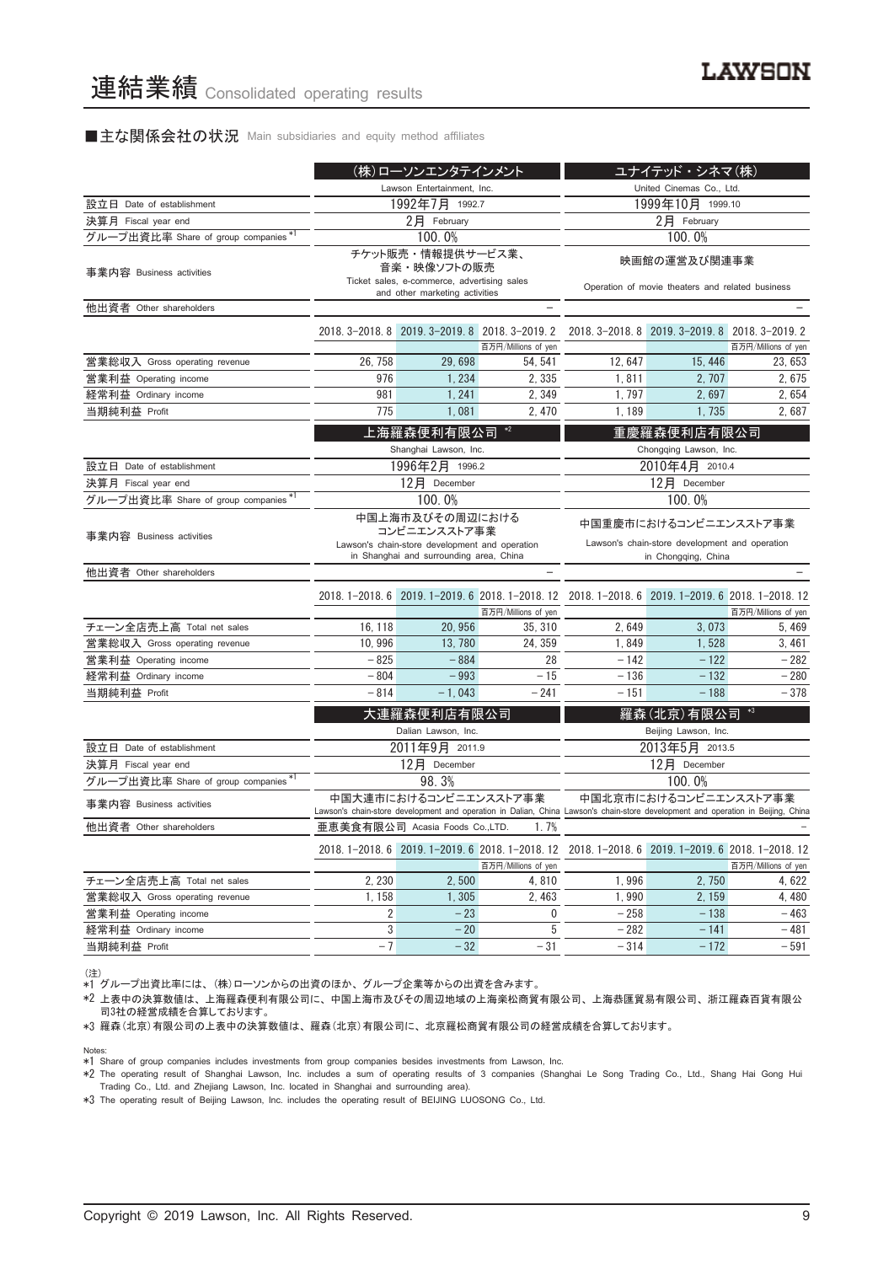#### ■主な関係会社の状況 Main subsidiaries and equity method affiliates

|                                     | (株)ローソンエンタテインメント           |                                                                                                                              |                                                                         | ユナイテッド·シネマ(株)                                                                                                                    |                                                  |                     |
|-------------------------------------|----------------------------|------------------------------------------------------------------------------------------------------------------------------|-------------------------------------------------------------------------|----------------------------------------------------------------------------------------------------------------------------------|--------------------------------------------------|---------------------|
|                                     | Lawson Entertainment, Inc. |                                                                                                                              |                                                                         |                                                                                                                                  | United Cinemas Co., Ltd.                         |                     |
| 設立日 Date of establishment           |                            | 1992年7月 1992.7                                                                                                               |                                                                         | 1999年10月 1999.10                                                                                                                 |                                                  |                     |
| 決算月 Fiscal year end                 | 2月 February                |                                                                                                                              |                                                                         | 2月 February                                                                                                                      |                                                  |                     |
| グループ出資比率 Share of group companies*  |                            | 100.0%                                                                                                                       |                                                                         |                                                                                                                                  | 100.0%                                           |                     |
| 事業内容 Business activities            |                            | チケット販売・情報提供サービス業、<br>音楽・映像ソフトの販売<br>Ticket sales, e-commerce, advertising sales<br>and other marketing activities            |                                                                         | 映画館の運営及び関連事業<br>Operation of movie theaters and related business                                                                 |                                                  |                     |
| 他出資者 Other shareholders             |                            |                                                                                                                              |                                                                         |                                                                                                                                  |                                                  |                     |
|                                     |                            |                                                                                                                              | 2018. 3-2018. 8 2019. 3-2019. 8 2018. 3-2019. 2<br>百万円/Millions of yen  |                                                                                                                                  | 2018. 3-2018. 8 2019. 3-2019. 8 2018. 3-2019. 2  | 百万円/Millions of yen |
| 営業総収入 Gross operating revenue       | 26, 758                    | 29,698                                                                                                                       | 54, 541                                                                 | 12, 647                                                                                                                          | 15, 446                                          | 23, 653             |
| 営業利益 Operating income               | 976                        | 1, 234                                                                                                                       | 2, 335                                                                  | 1,811                                                                                                                            | 2, 707                                           | 2,675               |
| 経常利益 Ordinary income                | 981                        | 1, 241                                                                                                                       | 2, 349                                                                  | 1, 797                                                                                                                           | 2,697                                            | 2,654               |
| 当期純利益 Profit                        | 775                        | 1,081                                                                                                                        | 2,470                                                                   | 1,189                                                                                                                            | 1,735                                            | 2,687               |
|                                     |                            | 上海羅森便利有限公司<br>Shanghai Lawson, Inc.                                                                                          | $*2$                                                                    |                                                                                                                                  | 重慶羅森便利店有限公司<br>Chongqing Lawson, Inc.            |                     |
| 設立日 Date of establishment           |                            | 1996年2月 1996.2                                                                                                               |                                                                         |                                                                                                                                  | 2010年4月 2010.4                                   |                     |
| 決算月 Fiscal year end                 |                            | 12月 December                                                                                                                 |                                                                         | 12月 December                                                                                                                     |                                                  |                     |
| グループ出資比率 Share of group companies*1 |                            | 100.0%                                                                                                                       |                                                                         | 100.0%                                                                                                                           |                                                  |                     |
| 事業内容 Business activities            |                            | 中国上海市及びその周辺における<br>コンビニエンスストア事業<br>Lawson's chain-store development and operation<br>in Shanghai and surrounding area, China |                                                                         | 中国重慶市におけるコンビニエンスストア事業<br>Lawson's chain-store development and operation<br>in Chongqing, China                                   |                                                  |                     |
| 他出資者 Other shareholders             |                            |                                                                                                                              |                                                                         |                                                                                                                                  |                                                  |                     |
|                                     |                            |                                                                                                                              | 2018. 1-2018. 6 2019. 1-2019. 6 2018. 1-2018. 12<br>百万円/Millions of yen |                                                                                                                                  | 2018. 1-2018. 6 2019. 1-2019. 6 2018. 1-2018. 12 | 百万円/Millions of yen |
| チェーン全店売上高 Total net sales           | 16, 118                    | 20, 956                                                                                                                      | 35, 310                                                                 | 2,649                                                                                                                            | 3,073                                            | 5, 469              |
| 営業総収入 Gross operating revenue       | 10,996                     | 13, 780                                                                                                                      | 24, 359                                                                 | 1,849                                                                                                                            | 1,528                                            | 3,461               |
| 営業利益 Operating income               | $-825$                     | $-884$                                                                                                                       | 28                                                                      | $-142$                                                                                                                           | $-122$                                           | $-282$              |
| 経常利益 Ordinary income                | $-804$                     | $-993$                                                                                                                       | $-15$                                                                   | $-136$                                                                                                                           | $-132$                                           | $-280$              |
| 当期純利益 Profit                        | $-814$                     | $-1,043$                                                                                                                     | $-241$                                                                  | $-151$                                                                                                                           | $-188$                                           | $-378$              |
|                                     |                            | 大連羅森便利店有限公司<br>Dalian Lawson, Inc.                                                                                           |                                                                         |                                                                                                                                  | 羅森(北京)有限公司<br>Beijing Lawson, Inc.               |                     |
| 設立日 Date of establishment           |                            | 2011年9月 2011.9                                                                                                               |                                                                         |                                                                                                                                  | 2013年5月 2013.5                                   |                     |
| 決算月 Fiscal year end                 |                            | 12月 December                                                                                                                 |                                                                         |                                                                                                                                  | 12月 December                                     |                     |
| グループ出資比率 Share of group companies*1 |                            | 98.3%                                                                                                                        |                                                                         |                                                                                                                                  | 100.0%                                           |                     |
| 事業内容 Business activities            |                            | 中国大連市におけるコンビニエンスストア事業                                                                                                        |                                                                         | Lawson's chain-store development and operation in Dalian, China Lawson's chain-store development and operation in Beijing, China | 中国北京市におけるコンビニエンスストア事業                            |                     |
| 他出資者 Other shareholders             |                            | 亜恵美食有限公司 Acasia Foods Co.,LTD.                                                                                               | 1.7%                                                                    |                                                                                                                                  |                                                  |                     |
|                                     |                            |                                                                                                                              | 百万円/Millions of yen                                                     | 2018. 1-2018. 6 2019. 1-2019. 6 2018. 1-2018. 12 2018. 1-2018. 6 2019. 1-2019. 6 2018. 1-2018. 12                                |                                                  | 百万円/Millions of yen |
| チェーン全店売上高 Total net sales           | 2, 230                     | 2,500                                                                                                                        | 4,810                                                                   | 1,996                                                                                                                            | 2,750                                            | 4, 622              |
| 営業総収入 Gross operating revenue       | 1, 158                     | 1,305                                                                                                                        | 2,463                                                                   | 1,990                                                                                                                            | 2, 159                                           | 4, 480              |
| 営業利益 Operating income               | 2                          | $-23$                                                                                                                        | 0                                                                       | $-258$                                                                                                                           | $-138$                                           | $-463$              |
| 経常利益 Ordinary income                | 3                          | $-20$                                                                                                                        | 5                                                                       | $-282$                                                                                                                           | $-141$                                           | $-481$              |
| 当期純利益 Profit                        | $-7$                       | $-32$                                                                                                                        | $-31$                                                                   | $-314$                                                                                                                           | $-172$                                           | $-591$              |

(注) \*1 グループ出資比率には、 (株)ローソンからの出資のほか、 グループ企業等からの出資を含みます。

\*2 上表中の決算数値は、 上海羅森便利有限公司に、 中国上海市及びその周辺地域の上海楽松商貿有限公司、 上海恭匯貿易有限公司、 浙江羅森百貨有限公 コン・・・・・・・・・・・・・・ ニン・・・・・・・・・・・・・・・・。<br>司3社の経営成績を合算しております。

\*3 羅森(北京)有限公司の上表中の決算数値は、 羅森(北京)有限公司に、 北京羅松商貿有限公司の経営成績を合算しております。

Notes:

\*1 Share of group companies includes investments from group companies besides investments from Lawson, Inc.

\*2 The operating result of Shanghai Lawson, Inc. includes a sum of operating results of 3 companies (Shanghai Le Song Trading Co., Ltd., Shang Hai Gong Hui Trading Co., Ltd. and Zhejiang Lawson, Inc. located in Shanghai and surrounding area).

\*3 The operating result of Beijing Lawson, Inc. includes the operating result of BEIJING LUOSONG Co., Ltd.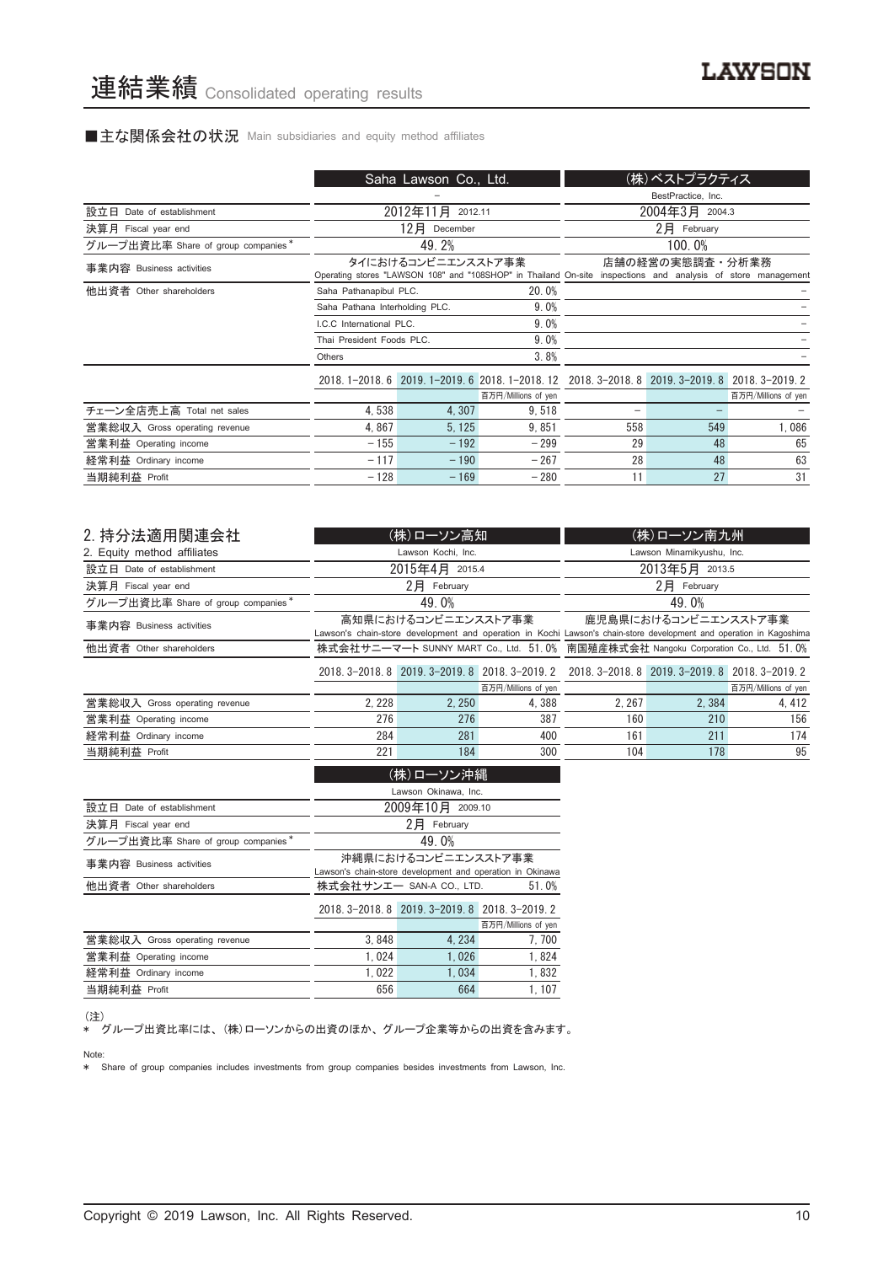#### ■主な関係会社の状況 Main subsidiaries and equity method affiliates

|                                    |                                | Saha Lawson Co., Ltd. |                                                                                                              |                    | (株)ベストプラクティス    |                     |
|------------------------------------|--------------------------------|-----------------------|--------------------------------------------------------------------------------------------------------------|--------------------|-----------------|---------------------|
|                                    |                                |                       |                                                                                                              | BestPractice, Inc. |                 |                     |
| 設立日 Date of establishment          |                                | 2012年11月<br>2012.11   |                                                                                                              |                    | 2004年3月 2004.3  |                     |
| 決算月 Fiscal year end                |                                | $12$ 月 December       |                                                                                                              |                    | $2$ 月 February  |                     |
| グループ出資比率 Share of group companies* |                                | 49.2%                 |                                                                                                              |                    | 100.0%          |                     |
| 事業内容 Business activities           |                                | タイにおけるコンビニエンスストア事業    | Operating stores "LAWSON 108" and "108SHOP" in Thailand On-site inspections and analysis of store management |                    | 店舗の経営の実態調査・分析業務 |                     |
| 他出資者 Other shareholders            | Saha Pathanapibul PLC.         |                       | 20.0%                                                                                                        |                    |                 |                     |
|                                    | Saha Pathana Interholding PLC. |                       | 9.0%                                                                                                         |                    |                 |                     |
|                                    | LC.C. International PLC.       |                       | 9.0%                                                                                                         |                    |                 |                     |
|                                    | Thai President Foods PLC.      |                       | 9.0%                                                                                                         |                    |                 |                     |
|                                    | Others                         |                       | 3.8%                                                                                                         |                    |                 |                     |
|                                    |                                |                       | 2018.1-2018.6 2019.1-2019.6 2018.1-2018.12 2018.3-2018.8 2019.3-2019.8 2018.3-2019.2                         |                    |                 |                     |
|                                    |                                |                       | 百万円/Millions of yen                                                                                          |                    |                 | 百万円/Millions of yen |
| チェーン全店売上高 Total net sales          | 4,538                          | 4,307                 | 9,518                                                                                                        |                    |                 |                     |
| 営業総収入 Gross operating revenue      | 4,867                          | 5, 125                | 9,851                                                                                                        | 558                | 549             | 1,086               |
| 営業利益 Operating income              | $-155$                         | $-192$                | $-299$                                                                                                       | 29                 | 48              | 65                  |
| 経常利益 Ordinary income               | $-117$                         | $-190$                | $-267$                                                                                                       | 28                 | 48              | 63                  |
| 当期純利益 Profit                       | $-128$                         | $-169$                | $-280$                                                                                                       | 11                 | 27              | 31                  |

| 2. 持分法適用関連会社                       |                                                                                    | (株)ローソン高知            |                                                                                                 |                                                                                                                     | (株)ローソン南九州           |                     |
|------------------------------------|------------------------------------------------------------------------------------|----------------------|-------------------------------------------------------------------------------------------------|---------------------------------------------------------------------------------------------------------------------|----------------------|---------------------|
| 2. Equity method affiliates        |                                                                                    | Lawson Kochi, Inc.   |                                                                                                 | Lawson Minamikyushu, Inc.                                                                                           |                      |                     |
| 設立日 Date of establishment          |                                                                                    | 2015年4月 2015.4       |                                                                                                 | 2013年5月 2013.5                                                                                                      |                      |                     |
| 決算月 Fiscal year end                |                                                                                    | $2$ 月 February       |                                                                                                 |                                                                                                                     | $2$ 月 February       |                     |
| グループ出資比率 Share of group companies* |                                                                                    | 49.0%                |                                                                                                 |                                                                                                                     | 49.0%                |                     |
| 事業内容 Business activities           |                                                                                    | 高知県におけるコンビニエンスストア事業  |                                                                                                 |                                                                                                                     | 鹿児島県におけるコンビニエンスストア事業 |                     |
|                                    |                                                                                    |                      |                                                                                                 | Lawson's chain-store development and operation in Kochi Lawson's chain-store development and operation in Kagoshima |                      |                     |
| 他出資者 Other shareholders            | 株式会社サニーマート SUNNY MART Co., Ltd. 51.0% 南国殖産株式会社 Nangoku Corporation Co., Ltd. 51.0% |                      |                                                                                                 |                                                                                                                     |                      |                     |
|                                    |                                                                                    |                      | 2018. 3-2018. 8 2019. 3-2019. 8 2018. 3-2019. 2 2018. 3-2018. 8 2019. 3-2019. 8 2018. 3-2019. 2 |                                                                                                                     |                      |                     |
|                                    |                                                                                    |                      | 百万円/Millions of yen                                                                             |                                                                                                                     |                      | 百万円/Millions of yen |
| 営業総収入 Gross operating revenue      | 2, 228                                                                             | 2.250                | 4.388                                                                                           | 2.267                                                                                                               | 2.384                | 4, 412              |
| 営業利益 Operating income              | 276                                                                                | 276                  | 387                                                                                             | 160                                                                                                                 | 210                  | 156                 |
| 経常利益 Ordinary income               | 284                                                                                | 281                  | 400                                                                                             | 161                                                                                                                 | 211                  | 174                 |
| 当期純利益 Profit                       | 221                                                                                | 184                  | 300                                                                                             | 104                                                                                                                 | 178                  | 95                  |
|                                    |                                                                                    | (株)ローソン沖縄            |                                                                                                 |                                                                                                                     |                      |                     |
|                                    |                                                                                    | Lawson Okinawa, Inc. |                                                                                                 |                                                                                                                     |                      |                     |

|                                    | Lawson Okinawa, Inc.                                      |                                                 |                     |  |  |
|------------------------------------|-----------------------------------------------------------|-------------------------------------------------|---------------------|--|--|
| 設立日<br>Date of establishment       | 2009年10月 2009.10                                          |                                                 |                     |  |  |
| 決算月 Fiscal year end                |                                                           | 2月<br>February                                  |                     |  |  |
| グループ出資比率 Share of group companies* |                                                           | 49.0%                                           |                     |  |  |
| 事業内容 Business activities           |                                                           | 沖縄県におけるコンビニエンスストア事業                             |                     |  |  |
|                                    | Lawson's chain-store development and operation in Okinawa |                                                 |                     |  |  |
| 他出資者 Other shareholders            | 株式会社サンエー SAN-A CO., LTD.<br>51.0%                         |                                                 |                     |  |  |
|                                    |                                                           | 2018. 3-2018. 8 2019. 3-2019. 8 2018. 3-2019. 2 |                     |  |  |
|                                    |                                                           |                                                 | 百万円/Millions of yen |  |  |
| 営業総収入 Gross operating revenue      | 3.848                                                     | 4.234                                           | 7.700               |  |  |
| 営業利益 Operating income              | 1.024                                                     | 1.026                                           | 1,824               |  |  |
| 経常利益 Ordinary income               | 1.022                                                     | 1.034                                           | 1.832               |  |  |
| 当期純利益 Profit                       | 656                                                       | 664                                             | 1.107               |  |  |
|                                    |                                                           |                                                 |                     |  |  |

(注)

\* グループ出資比率には、 (株)ローソンからの出資のほか、 グループ企業等からの出資を含みます。

Note:

\* Share of group companies includes investments from group companies besides investments from Lawson, Inc.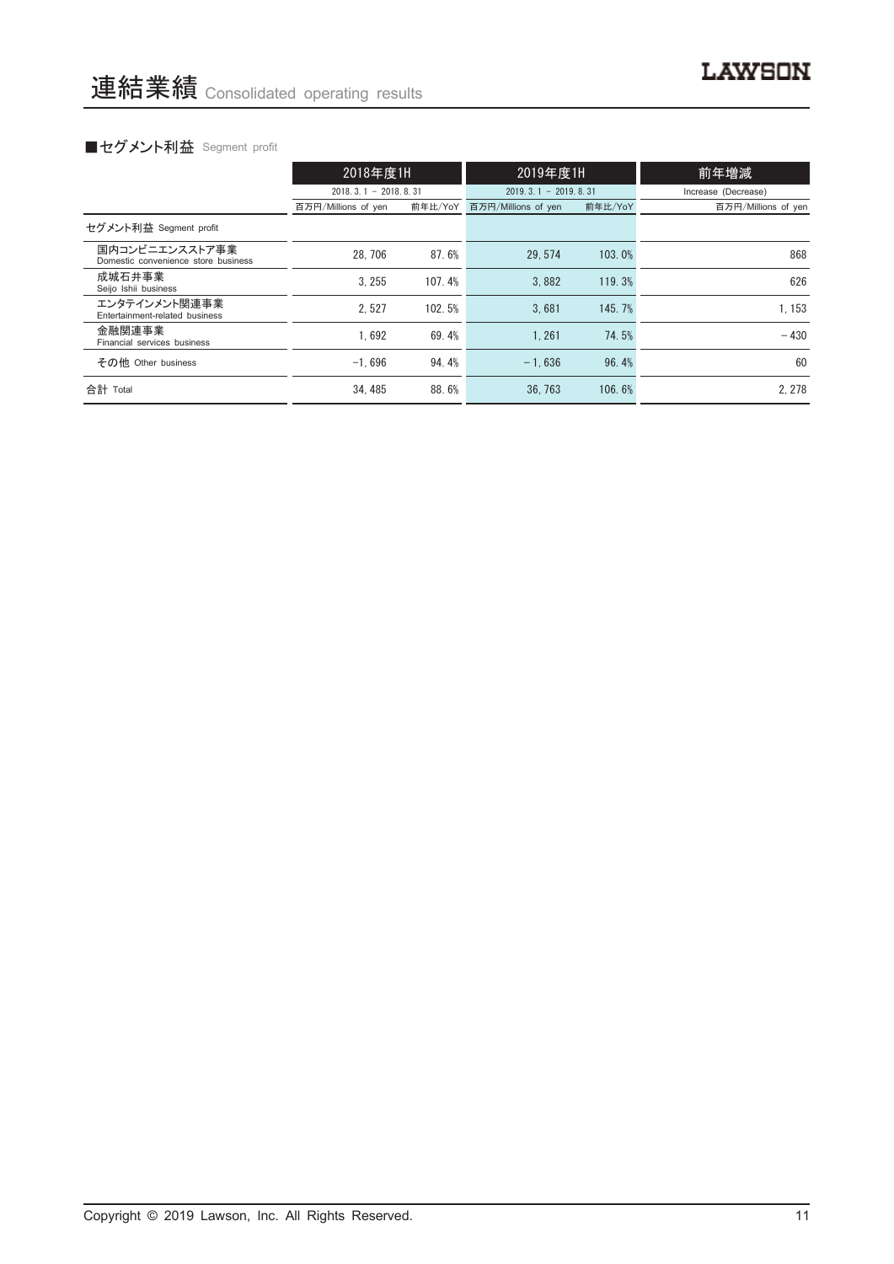# ■セグメント利益 Segment profit

|                                                       | 2018年度1H                   |         | 2019年度1H                   |         | 前年増減                |  |
|-------------------------------------------------------|----------------------------|---------|----------------------------|---------|---------------------|--|
|                                                       | $2018, 3, 1 - 2018, 8, 31$ |         | $2019, 3, 1 - 2019, 8, 31$ |         | Increase (Decrease) |  |
|                                                       | 百万円/Millions of yen        | 前年比/YoY | 百万円/Millions of yen        | 前年比/YoY | 百万円/Millions of yen |  |
| セグメント利益 Segment profit                                |                            |         |                            |         |                     |  |
| 国内コンビニエンスストア事業<br>Domestic convenience store business | 28.706                     | 87.6%   | 29.574                     | 103.0%  | 868                 |  |
| 成城石井事業<br>Seijo Ishii business                        | 3.255                      | 107.4%  | 3.882                      | 119.3%  | 626                 |  |
| エンタテインメント関連事業<br>Entertainment-related business       | 2.527                      | 102.5%  | 3.681                      | 145.7%  | 1.153               |  |
| 金融関連事業<br>Financial services business                 | 1.692                      | 69.4%   | 1.261                      | 74.5%   | $-430$              |  |
| その他 Other business                                    | $-1.696$                   | 94.4%   | $-1.636$                   | 96.4%   | 60                  |  |
| 合計 Total                                              | 34.485                     | 88.6%   | 36.763                     | 106.6%  | 2.278               |  |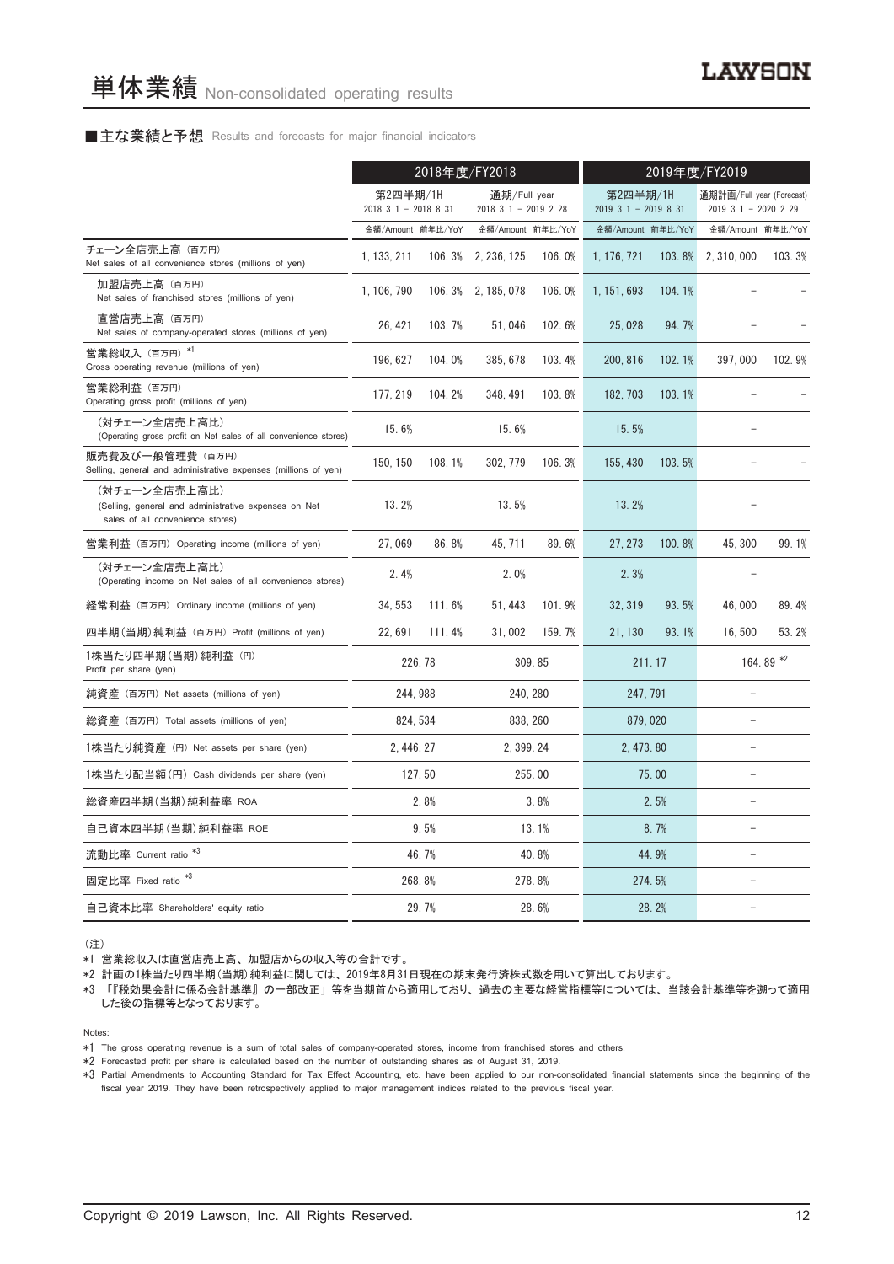#### ■主な業績と予想 Results and forecasts for major financial indicators

|                                                                                                           | 2018年度/FY2018                      |         |                                        |          | 2019年度/FY2019                      |           |                                                     |           |  |
|-----------------------------------------------------------------------------------------------------------|------------------------------------|---------|----------------------------------------|----------|------------------------------------|-----------|-----------------------------------------------------|-----------|--|
|                                                                                                           | 第2四半期/1H<br>$2018.3.1 - 2018.8.31$ |         | 通期/Full year<br>$2018.3.1 - 2019.2.28$ |          | 第2四半期/1H<br>$2019.3.1 - 2019.8.31$ |           | 通期計画/Full year (Forecast)<br>$2019.3.1 - 2020.2.29$ |           |  |
|                                                                                                           | 金額/Amount 前年比/YoY                  |         | 金額/Amount 前年比/YoY                      |          | 金額/Amount 前年比/YoY                  |           | 金額/Amount 前年比/YoY                                   |           |  |
| チェーン全店売上高 (百万円)<br>Net sales of all convenience stores (millions of yen)                                  | 1, 133, 211                        | 106.3%  | 2, 236, 125                            | 106.0%   | 1, 176, 721                        | $103.8\%$ | 2, 310, 000                                         | 103.3%    |  |
| 加盟店売上高(百万円)<br>Net sales of franchised stores (millions of yen)                                           | 1.106.790                          |         | 106.3% 2.185.078                       | 106.0%   | 1, 151, 693                        | 104.1%    |                                                     |           |  |
| 直営店売上高(百万円)<br>Net sales of company-operated stores (millions of yen)                                     | 26, 421                            | 103.7%  | 51,046                                 | 102.6%   | 25,028                             | 94.7%     |                                                     |           |  |
| 営業総収入 (百万円) *1<br>Gross operating revenue (millions of yen)                                               | 196, 627                           | 104.0%  | 385, 678                               | 103.4%   | 200, 816                           | 102.1%    | 397,000                                             | 102.9%    |  |
| 営業総利益 (百万円)<br>Operating gross profit (millions of yen)                                                   | 177, 219                           | 104.2%  | 348, 491                               | 103.8%   | 182.703                            | 103.1%    |                                                     |           |  |
| (対チェーン全店売上高比)<br>(Operating gross profit on Net sales of all convenience stores)                          | 15.6%                              |         | 15.6%                                  |          | 15.5%                              |           |                                                     |           |  |
| 販売費及び一般管理費 (百万円)<br>Selling, general and administrative expenses (millions of yen)                        | 150, 150                           | 108.1%  | 302, 779                               | 106.3%   | 155, 430                           | 103.5%    |                                                     |           |  |
| (対チェーン全店売上高比)<br>(Selling, general and administrative expenses on Net<br>sales of all convenience stores) | 13.2%                              |         | 13.5%                                  |          | 13.2%                              |           |                                                     |           |  |
| 営業利益 (百万円) Operating income (millions of yen)                                                             | 27.069                             | 86.8%   | 45.711                                 | 89.6%    | 27.273                             | 100.8%    | 45.300                                              | 99.1%     |  |
| (対チェーン全店売上高比)<br>(Operating income on Net sales of all convenience stores)                                | 2.4%                               |         | 2.0%                                   |          | 2.3%                               |           |                                                     |           |  |
| 経常利益 (百万円) Ordinary income (millions of yen)                                                              | 34.553                             | 111.6%  | 51, 443                                | 101.9%   | 32, 319                            | 93.5%     | 46,000                                              | 89.4%     |  |
| 四半期(当期)純利益(百万円)Profit (millions of yen)                                                                   | 22.691                             | 111.4%  | 31,002                                 | 159.7%   | 21.130                             | 93.1%     | 16.500                                              | 53.2%     |  |
| 1株当たり四半期 (当期) 純利益 (円)<br>Profit per share (yen)                                                           |                                    | 226, 78 |                                        | 309.85   |                                    | 211.17    |                                                     | 164.89 *2 |  |
| 純資産 (百万円) Net assets (millions of yen)                                                                    |                                    | 244.988 |                                        | 240, 280 | 247, 791                           |           |                                                     |           |  |
| 総資産 (百万円) Total assets (millions of yen)                                                                  | 824, 534                           |         |                                        | 838, 260 | 879, 020                           |           | $\equiv$                                            |           |  |
| 1株当たり純資産 (円) Net assets per share (yen)                                                                   | 2, 446, 27                         |         | 2, 399, 24                             |          | 2, 473, 80                         |           |                                                     |           |  |
| 1株当たり配当額 (円) Cash dividends per share (yen)                                                               |                                    | 127.50  |                                        | 255.00   | 75.00                              |           |                                                     |           |  |
| 総資産四半期(当期) 純利益率 ROA                                                                                       |                                    | 2.8%    |                                        | 3.8%     |                                    | 2.5%      | $\overline{\phantom{0}}$                            |           |  |
| 自己資本四半期(当期)純利益率 ROE                                                                                       |                                    | 9.5%    |                                        | 13.1%    |                                    | 8.7%      | L.                                                  |           |  |
| 流動比率 Current ratio *3                                                                                     |                                    | 46.7%   |                                        | 40.8%    |                                    | 44.9%     | ۳                                                   |           |  |
| 固定比率 Fixed ratio <sup>*3</sup>                                                                            |                                    | 268.8%  |                                        | 278.8%   |                                    | 274.5%    |                                                     |           |  |
| 自己資本比率 Shareholders' equity ratio                                                                         |                                    | 29.7%   |                                        | 28.6%    |                                    | 28.2%     |                                                     |           |  |

(注)

\*1 営業総収入は直営店売上高、 加盟店からの収入等の合計です。

\*2 計画の1株当たり四半期(当期)純利益に関しては、 2019年8月31日現在の期末発行済株式数を用いて算出しております。

\*3 「『税効果会計に係る会計基準』 の一部改正」 等を当期首から適用しており、 過去の主要な経営指標等については、 当該会計基準等を遡って適用 した後の指標等となっております。

Notes:

\*1 The gross operating revenue is a sum of total sales of company-operated stores, income from franchised stores and others.

\*2 Forecasted profit per share is calculated based on the number of outstanding shares as of August 31, 2019.

\*3 Partial Amendments to Accounting Standard for Tax Effect Accounting, etc. have been applied to our non-consolidated financial statements since the beginning of the fiscal year 2019. They have been retrospectively applied to major management indices related to the previous fiscal year.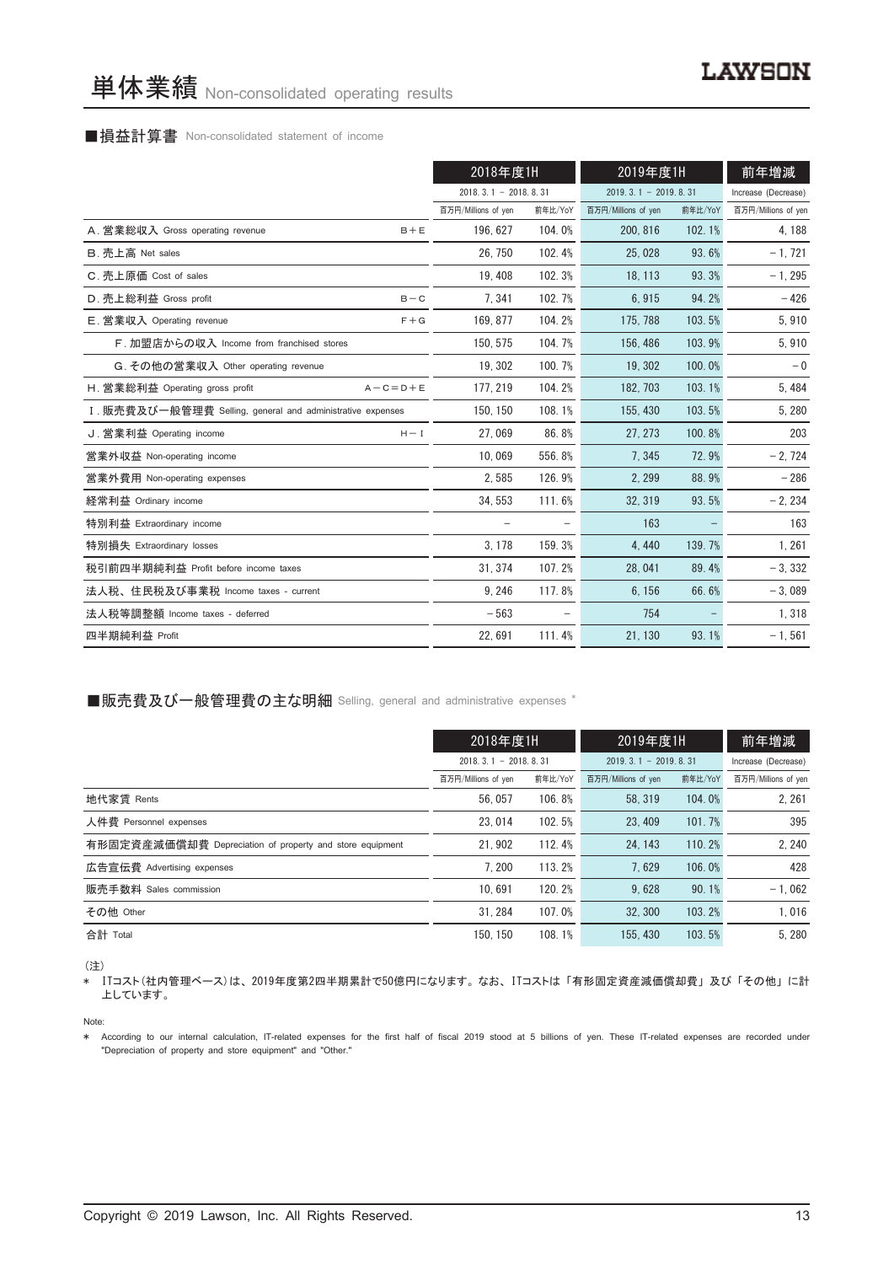#### ■損益計算書 Non-consolidated statement of income

|                                                            | 2018年度1H               |         | 2019年度1H               |         | 前年増減                |
|------------------------------------------------------------|------------------------|---------|------------------------|---------|---------------------|
|                                                            | $2018.3.1 - 2018.8.31$ |         | $2019.3.1 - 2019.8.31$ |         | Increase (Decrease) |
|                                                            | 百万円/Millions of yen    | 前年比/YoY | 百万円/Millions of yen    | 前年比/YoY | 百万円/Millions of yen |
| A. 営業総収入 Gross operating revenue<br>$B + E$                | 196.627                | 104.0%  | 200, 816               | 102.1%  | 4, 188              |
| B. 売上高 Net sales                                           | 26.750                 | 102.4%  | 25.028                 | 93.6%   | $-1, 721$           |
| C. 売上原価 Cost of sales                                      | 19, 408                | 102.3%  | 18, 113                | 93.3%   | $-1, 295$           |
| D. 売上総利益 Gross profit<br>$B - C$                           | 7, 341                 | 102.7%  | 6,915                  | 94.2%   | $-426$              |
| E. 営業収入 Operating revenue<br>$F + G$                       | 169, 877               | 104.2%  | 175, 788               | 103.5%  | 5,910               |
| F. 加盟店からの収入 Income from franchised stores                  | 150.575                | 104.7%  | 156, 486               | 103.9%  | 5,910               |
| G. その他の営業収入 Other operating revenue                        | 19, 302                | 100.7%  | 19.302                 | 100.0%  | $-0$                |
| H. 営業総利益 Operating gross profit<br>$A - C = D + E$         | 177, 219               | 104.2%  | 182, 703               | 103.1%  | 5,484               |
| I. 販売費及び一般管理費 Selling, general and administrative expenses | 150.150                | 108.1%  | 155, 430               | 103.5%  | 5,280               |
| J. 営業利益 Operating income<br>$H - I$                        | 27.069                 | 86.8%   | 27, 273                | 100.8%  | 203                 |
| 営業外収益 Non-operating income                                 | 10,069                 | 556.8%  | 7,345                  | 72.9%   | $-2,724$            |
| 営業外費用 Non-operating expenses                               | 2,585                  | 126.9%  | 2, 299                 | 88.9%   | $-286$              |
| 経常利益 Ordinary income                                       | 34, 553                | 111.6%  | 32.319                 | 93.5%   | $-2,234$            |
| 特別利益 Extraordinary income                                  | $\qquad \qquad -$      |         | 163                    |         | 163                 |
| 特別損失 Extraordinary losses                                  | 3, 178                 | 159.3%  | 4,440                  | 139.7%  | 1,261               |
| 税引前四半期純利益 Profit before income taxes                       | 31, 374                | 107.2%  | 28,041                 | 89.4%   | $-3,332$            |
| 法人税、住民税及び事業税 Income taxes - current                        | 9, 246                 | 117.8%  | 6, 156                 | 66.6%   | $-3,089$            |
| 法人税等調整額 Income taxes - deferred                            | $-563$                 |         | 754                    |         | 1,318               |
| 四半期純利益 Profit                                              | 22,691                 | 111.4%  | 21, 130                | 93.1%   | $-1, 561$           |

■販売費及び一般管理費の主な明細 Selling, general and administrative expenses \*

|                                                          | 2018年度1H                   |         | 2019年度1H               |         | 前年増減                |
|----------------------------------------------------------|----------------------------|---------|------------------------|---------|---------------------|
|                                                          | $2018, 3, 1 - 2018, 8, 31$ |         | $2019.3.1 - 2019.8.31$ |         | Increase (Decrease) |
|                                                          | 百万円/Millions of yen        | 前年比/YoY | 百万円/Millions of yen    | 前年比/YoY | 百万円/Millions of yen |
| 地代家賃 Rents                                               | 56.057                     | 106.8%  | 58.319                 | 104.0%  | 2, 261              |
| 人件費 Personnel expenses                                   | 23.014                     | 102.5%  | 23.409                 | 101.7%  | 395                 |
| 有形固定資産減価償却費 Depreciation of property and store equipment | 21.902                     | 112.4%  | 24.143                 | 110.2%  | 2.240               |
| 広告宣伝費 Advertising expenses                               | 7.200                      | 113.2%  | 7.629                  | 106.0%  | 428                 |
| 販売手数料 Sales commission                                   | 10.691                     | 120.2%  | 9.628                  | 90.1%   | $-1.062$            |
| その他 Other                                                | 31.284                     | 107.0%  | 32.300                 | 103.2%  | 1.016               |
| 合計 Total                                                 | 150.150                    | 108.1%  | 155, 430               | 103.5%  | 5.280               |

(注)

\* ITコスト(社内管理ベース)は、 2019年度第2四半期累計で50億円になります。 なお、 ITコストは 「有形固定資産減価償却費」 及び 「その他」 に計 上しています。

Note:

\* According to our internal calculation, IT-related expenses for the first half of fiscal 2019 stood at 5 billions of yen. These IT-related expenses are recorded under "Depreciation of property and store equipment" and "Other."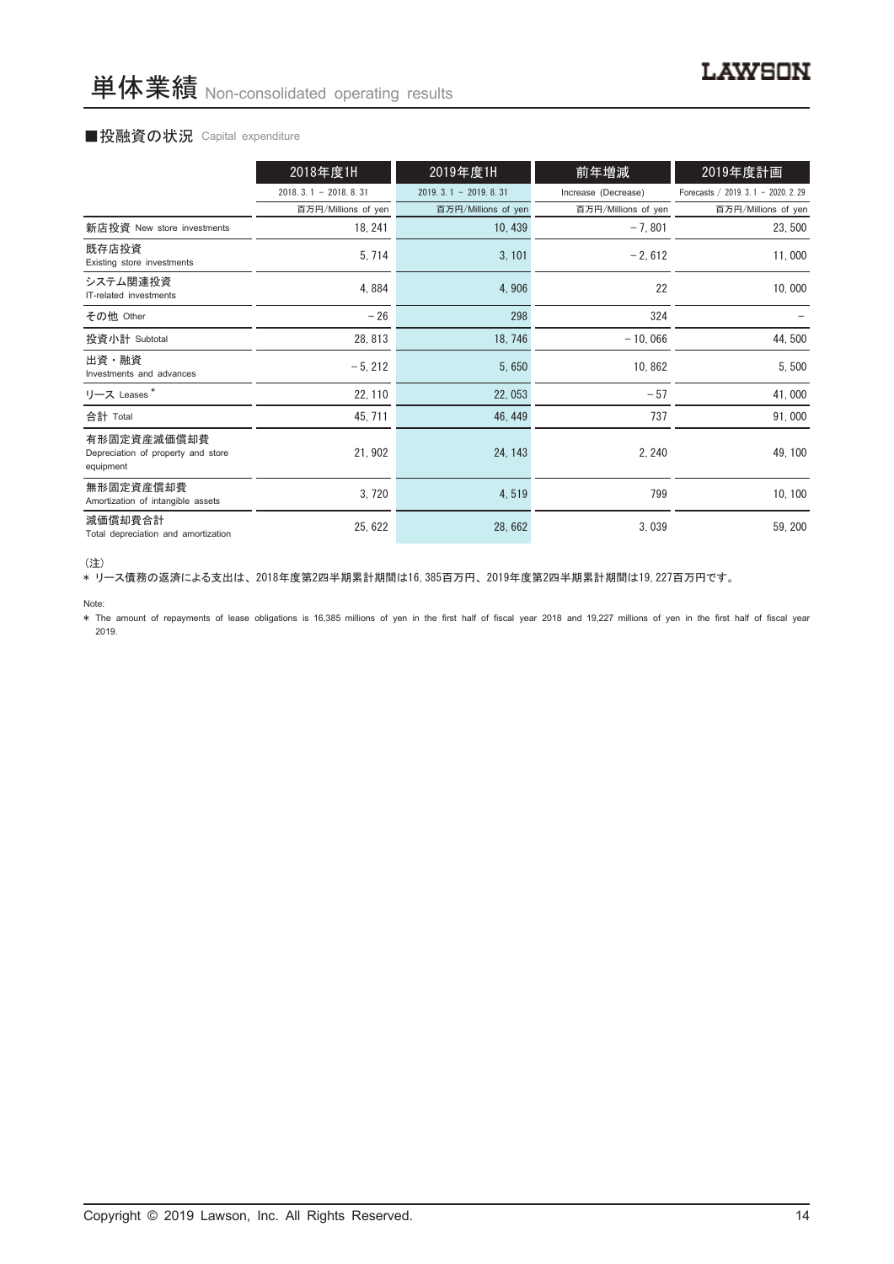#### ■投融資の状況 Capital expenditure

|                                                                | 2018年度1H               | 2019年度1H               | 前年増減                | 2019年度計画                             |
|----------------------------------------------------------------|------------------------|------------------------|---------------------|--------------------------------------|
|                                                                | $2018.3.1 - 2018.8.31$ | $2019.3.1 - 2019.8.31$ | Increase (Decrease) | Forecasts / 2019. 3. 1 - 2020. 2. 29 |
|                                                                | 百万円/Millions of yen    | 百万円/Millions of yen    | 百万円/Millions of yen | 百万円/Millions of yen                  |
| 新店投資 New store investments                                     | 18, 241                | 10, 439                | $-7,801$            | 23,500                               |
| 既存店投資<br>Existing store investments                            | 5, 714                 | 3, 101                 | $-2,612$            | 11,000                               |
| システム関連投資<br>IT-related investments                             | 4,884                  | 4,906                  | 22                  | 10,000                               |
| その他 Other                                                      | $-26$                  | 298                    | 324                 |                                      |
| 投資小計 Subtotal                                                  | 28, 813                | 18,746                 | $-10,066$           | 44,500                               |
| 出資・融資<br>Investments and advances                              | $-5, 212$              | 5,650                  | 10,862              | 5,500                                |
| リース Leases*                                                    | 22, 110                | 22,053                 | $-57$               | 41,000                               |
| 合計 Total                                                       | 45, 711                | 46, 449                | 737                 | 91,000                               |
| 有形固定資産減価償却費<br>Depreciation of property and store<br>equipment | 21, 902                | 24, 143                | 2, 240              | 49, 100                              |
| 無形固定資産償却費<br>Amortization of intangible assets                 | 3,720                  | 4,519                  | 799                 | 10, 100                              |
| 減価償却費合計<br>Total depreciation and amortization                 | 25, 622                | 28,662                 | 3,039               | 59, 200                              |

<sup>(</sup>注)

\* リース債務の返済による支出は、 2018年度第2四半期累計期間は16,385百万円、 2019年度第2四半期累計期間は19,227百万円です。

Note:

\* The amount of repayments of lease obligations is 16,385 millions of yen in the first half of fiscal year 2018 and 19,227 millions of yen in the first half of fiscal year 2019.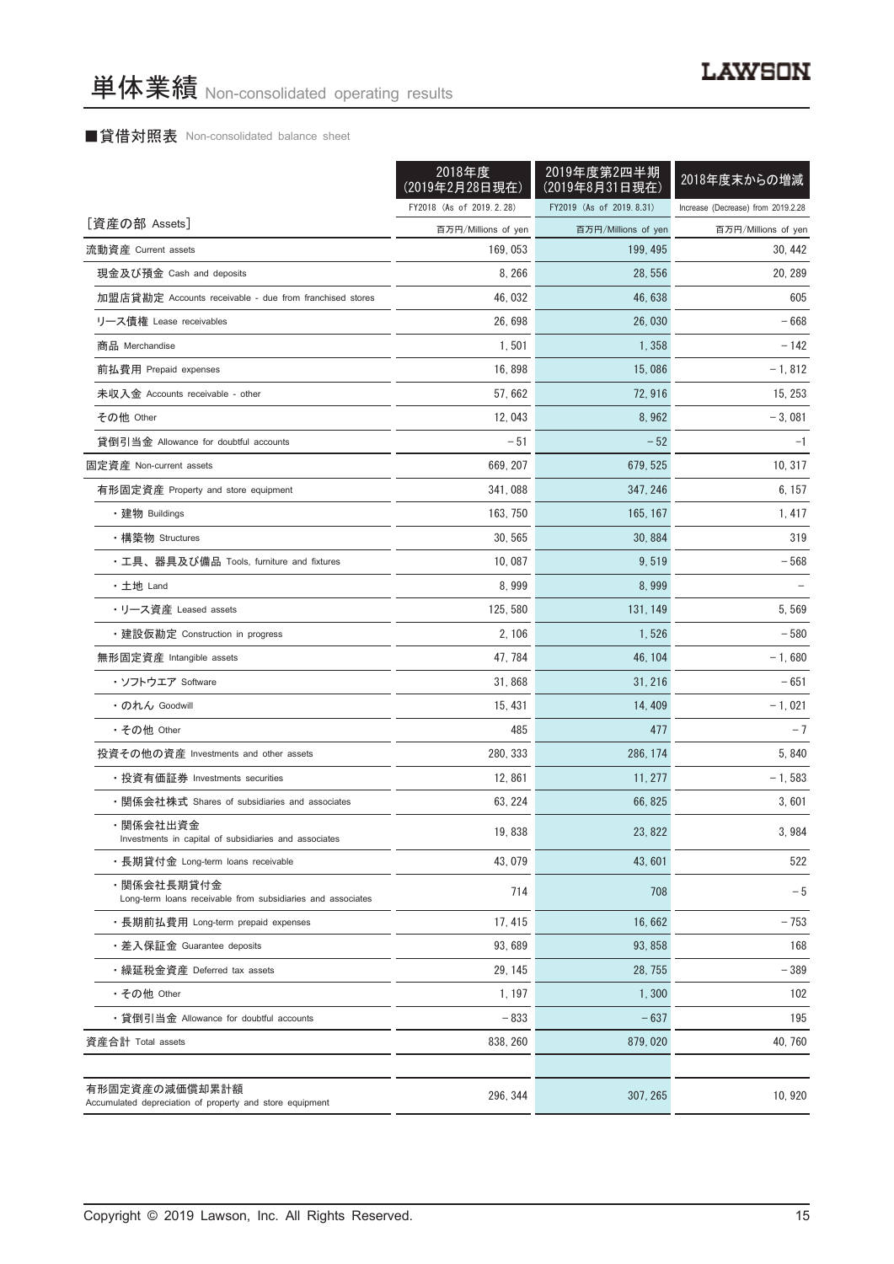#### ■貸借対照表 Non-consolidated balance sheet

|                                                                            | 2018年度<br>(2019年2月28日現在) | 2019年度第2四半期<br>(2019年8月31日現在) | 2018年度末からの増減                       |
|----------------------------------------------------------------------------|--------------------------|-------------------------------|------------------------------------|
|                                                                            | FY2018 (As of 2019.2.28) | FY2019 (As of 2019.8.31)      | Increase (Decrease) from 2019.2.28 |
| [資産の部 Assets]                                                              | 百万円/Millions of yen      | 百万円/Millions of yen           | 百万円/Millions of yen                |
| 流動資産 Current assets                                                        | 169, 053                 | 199, 495                      | 30, 442                            |
| 現金及び預金 Cash and deposits                                                   | 8, 266                   | 28, 556                       | 20, 289                            |
| 加盟店貸勘定 Accounts receivable - due from franchised stores                    | 46, 032                  | 46, 638                       | 605                                |
| リース債権 Lease receivables                                                    | 26,698                   | 26,030                        | - 668                              |
| 商品 Merchandise                                                             | 1,501                    | 1,358                         | $-142$                             |
| 前払費用 Prepaid expenses                                                      | 16,898                   | 15,086                        | $-1,812$                           |
| 未収入金 Accounts receivable - other                                           | 57,662                   | 72,916                        | 15, 253                            |
| その他 Other                                                                  | 12,043                   | 8,962                         | $-3,081$                           |
| 貸倒引当金 Allowance for doubtful accounts                                      | $-51$                    | $-52$                         | $-1$                               |
| 固定資産 Non-current assets                                                    | 669, 207                 | 679, 525                      | 10, 317                            |
| 有形固定資産 Property and store equipment                                        | 341.088                  | 347.246                       | 6, 157                             |
| ・建物 Buildings                                                              | 163, 750                 | 165, 167                      | 1,417                              |
| ・構築物 Structures                                                            | 30, 565                  | 30, 884                       | 319                                |
| ・工具、器具及び備品 Tools, furniture and fixtures                                   | 10,087                   | 9,519                         | $-568$                             |
| ・土地 Land                                                                   | 8,999                    | 8,999                         |                                    |
| ・リース資産 Leased assets                                                       | 125, 580                 | 131, 149                      | 5,569                              |
| ・建設仮勘定 Construction in progress                                            | 2, 106                   | 1,526                         | $-580$                             |
| 無形固定資産 Intangible assets                                                   | 47, 784                  | 46, 104                       | $-1,680$                           |
| ・ソフトウエア Software                                                           | 31,868                   | 31, 216                       | $-651$                             |
| ・のれん Goodwill                                                              | 15, 431                  | 14, 409                       | $-1,021$                           |
| ・その他 Other                                                                 | 485                      | 477                           | $-7$                               |
| 投資その他の資産 Investments and other assets                                      | 280, 333                 | 286, 174                      | 5,840                              |
| ・投資有価証券 Investments securities                                             | 12,861                   | 11, 277                       | $-1,583$                           |
| ・関係会社株式 Shares of subsidiaries and associates                              | 63, 224                  | 66, 825                       | 3,601                              |
| ・関係会社出資金<br>Investments in capital of subsidiaries and associates          | 19,838                   | 23, 822                       | 3,984                              |
| ・長期貸付金 Long-term loans receivable                                          | 43.079                   | 43,601                        | 522                                |
| ・関係会社長期貸付金<br>Long-term loans receivable from subsidiaries and associates  | 714                      | 708                           | $-5$                               |
| ・長期前払費用 Long-term prepaid expenses                                         | 17, 415                  | 16.662                        | $-753$                             |
| ・差入保証金 Guarantee deposits                                                  | 93,689                   | 93, 858                       | 168                                |
| ・繰延税金資産 Deferred tax assets                                                | 29, 145                  | 28, 755                       | $-389$                             |
| ・その他 Other                                                                 | 1, 197                   | 1,300                         | 102                                |
| ・貸倒引当金 Allowance for doubtful accounts                                     | $-833$                   | $-637$                        | 195                                |
| 資産合計 Total assets                                                          | 838, 260                 | 879, 020                      | 40, 760                            |
|                                                                            |                          |                               |                                    |
| 有形固定資産の減価償却累計額<br>Accumulated depreciation of property and store equipment | 296, 344                 | 307, 265                      | 10, 920                            |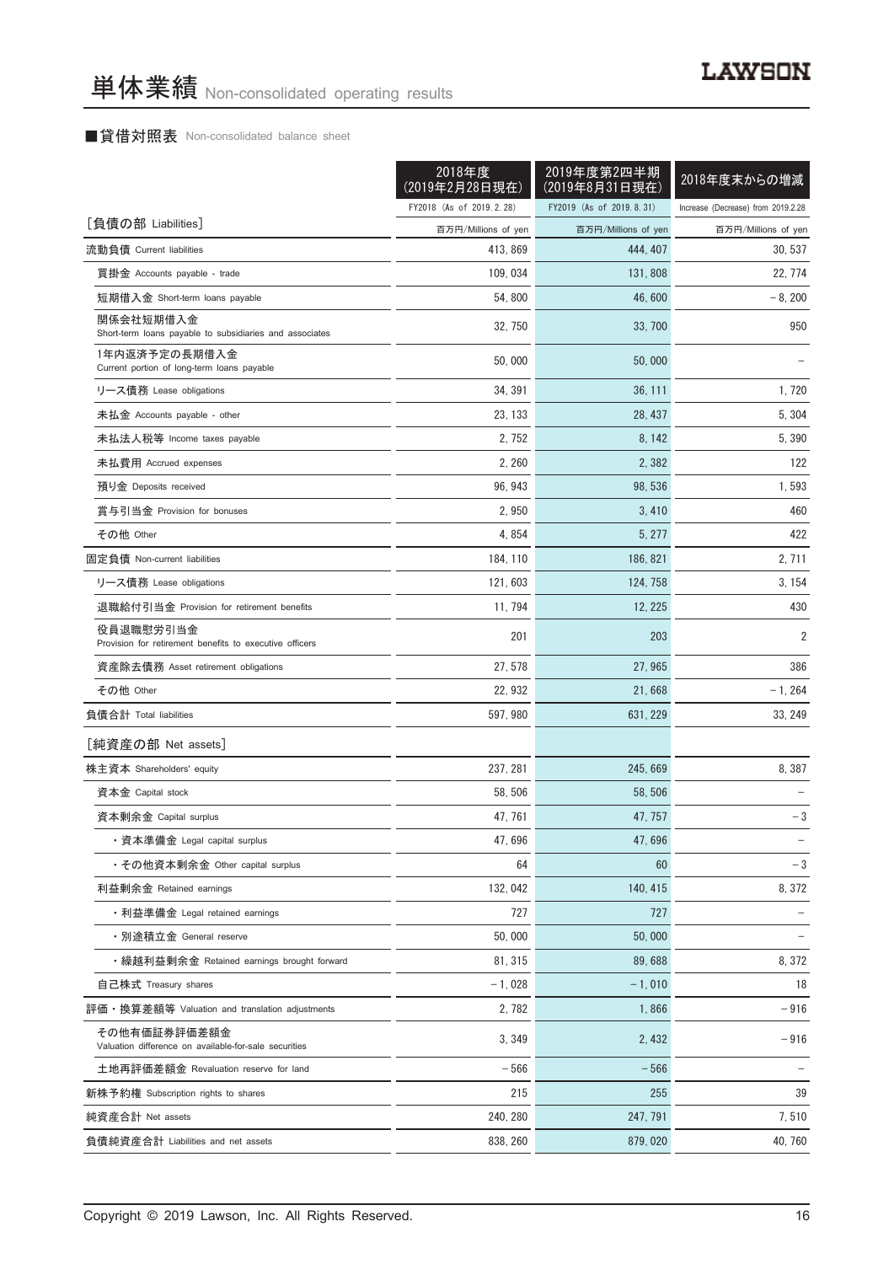#### ■貸借対照表 Non-consolidated balance sheet

|                                                                       | 2018年度<br>(2019年2月28日現在) | 2019年度第2四半期<br>(2019年8月31日現在) | 2018年度末からの増減                       |
|-----------------------------------------------------------------------|--------------------------|-------------------------------|------------------------------------|
|                                                                       | FY2018 (As of 2019.2.28) | FY2019 (As of 2019.8.31)      | Increase (Decrease) from 2019.2.28 |
| [負債の部 Liabilities]                                                    | 百万円/Millions of yen      | 百万円/Millions of yen           | 百万円/Millions of yen                |
| 流動負債 Current liabilities                                              | 413, 869                 | 444, 407                      | 30, 537                            |
| 買掛金 Accounts payable - trade                                          | 109, 034                 | 131, 808                      | 22, 774                            |
| 短期借入金 Short-term loans payable                                        | 54, 800                  | 46,600                        | $-8, 200$                          |
| 関係会社短期借入金<br>Short-term loans payable to subsidiaries and associates  | 32, 750                  | 33, 700                       | 950                                |
| 1年内返済予定の長期借入金<br>Current portion of long-term loans payable           | 50,000                   | 50,000                        |                                    |
| リース債務 Lease obligations                                               | 34, 391                  | 36, 111                       | 1,720                              |
| 未払金 Accounts payable - other                                          | 23, 133                  | 28, 437                       | 5, 304                             |
| 未払法人税等 Income taxes payable                                           | 2, 752                   | 8, 142                        | 5, 390                             |
| 未払費用 Accrued expenses                                                 | 2,260                    | 2,382                         | 122                                |
| 預り金 Deposits received                                                 | 96, 943                  | 98, 536                       | 1,593                              |
| 賞与引当金 Provision for bonuses                                           | 2,950                    | 3,410                         | 460                                |
| その他 Other                                                             | 4,854                    | 5, 277                        | 422                                |
| 固定負債 Non-current liabilities                                          | 184, 110                 | 186, 821                      | 2,711                              |
| リース債務 Lease obligations                                               | 121, 603                 | 124, 758                      | 3, 154                             |
| 退職給付引当金 Provision for retirement benefits                             | 11, 794                  | 12, 225                       | 430                                |
| 役員退職慰労引当金<br>Provision for retirement benefits to executive officers  | 201                      | 203                           | $\overline{2}$                     |
| 資産除去債務 Asset retirement obligations                                   | 27, 578                  | 27, 965                       | 386                                |
| その他 Other                                                             | 22, 932                  | 21,668                        | $-1, 264$                          |
| 負債合計 Total liabilities                                                | 597, 980                 | 631, 229                      | 33, 249                            |
| [純資産の部 Net assets]                                                    |                          |                               |                                    |
| 株主資本 Shareholders' equity                                             | 237, 281                 | 245, 669                      | 8,387                              |
| 資本金 Capital stock                                                     | 58, 506                  | 58, 506                       |                                    |
| 資本剰余金 Capital surplus                                                 | 47, 761                  | 47, 757                       | $-3$                               |
| ・資本準備金 Legal capital surplus                                          | 47,696                   | 47,696                        |                                    |
| ・その他資本剰余金 Other capital surplus                                       | 64                       | 60                            | $-3$                               |
| 利益剰余金 Retained earnings                                               | 132, 042                 | 140, 415                      | 8,372                              |
| ・利益準備金 Legal retained earnings                                        | 727                      | 727                           |                                    |
| ・別途積立金 General reserve                                                | 50,000                   | 50.000                        |                                    |
| ・繰越利益剰余金 Retained earnings brought forward                            | 81, 315                  | 89,688                        | 8,372                              |
| 自己株式 Treasury shares                                                  | $-1,028$                 | $-1.010$                      | 18                                 |
| 評価・換算差額等 Valuation and translation adjustments                        | 2,782                    | 1,866                         | $-916$                             |
| その他有価証券評価差額金<br>Valuation difference on available-for-sale securities | 3,349                    | 2,432                         | -916                               |
| 土地再評価差額金 Revaluation reserve for land                                 | $-566$                   | $-566$                        |                                    |
| 新株予約権 Subscription rights to shares                                   | 215                      | 255                           | 39                                 |
| 純資産合計 Net assets                                                      | 240, 280                 | 247, 791                      | 7,510                              |
| 負債純資産合計 Liabilities and net assets                                    | 838, 260                 | 879, 020                      | 40, 760                            |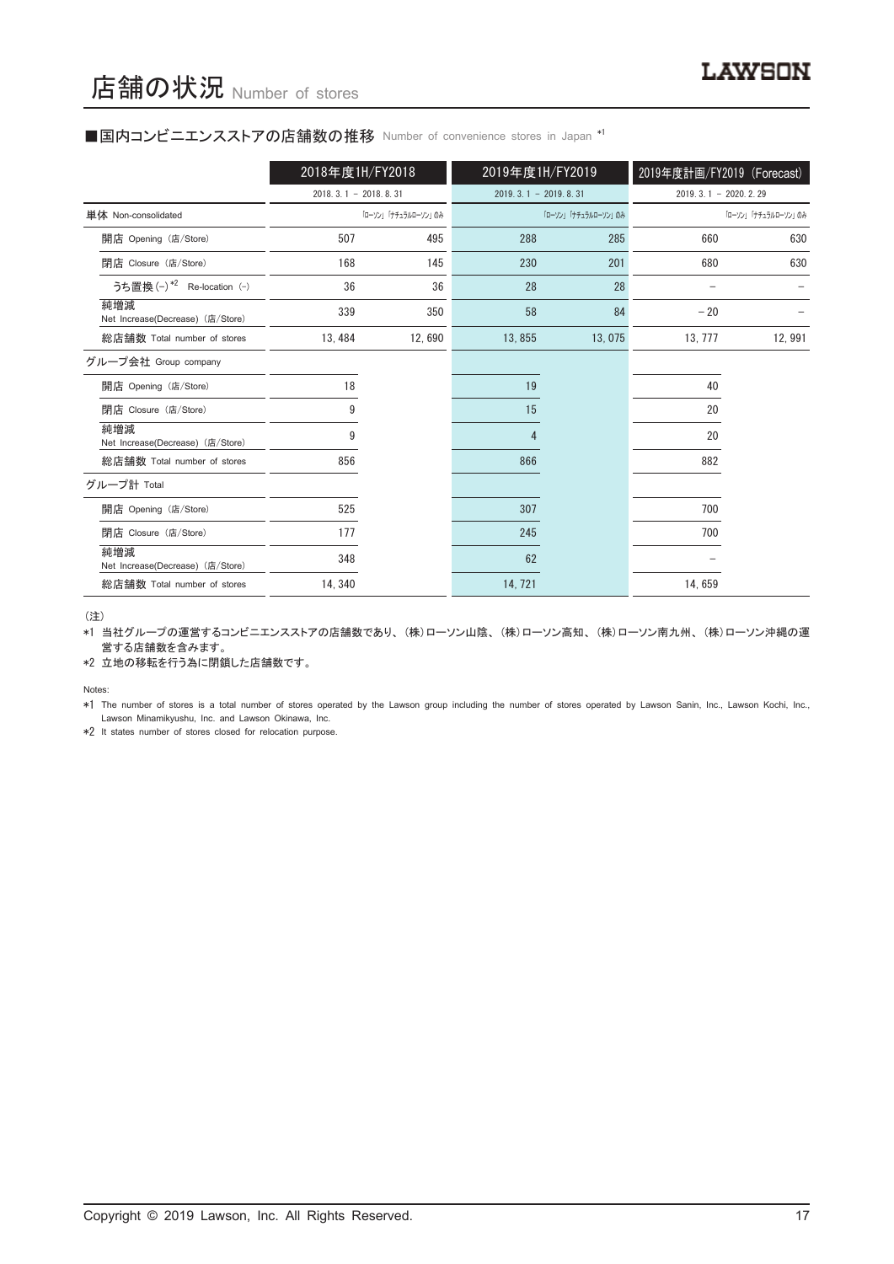#### ■国内コンビニエンスストアの店舗数の推移 Number of convenience stores in Japan \*1

|                                         | 2018年度1H/FY2018        |                     | 2019年度1H/FY2019 |                        | 2019年度計画/FY2019 (Forecast) |                        |
|-----------------------------------------|------------------------|---------------------|-----------------|------------------------|----------------------------|------------------------|
|                                         | $2018.3.1 - 2018.8.31$ |                     |                 | $2019.3.1 - 2019.8.31$ |                            | $2019.3.1 - 2020.2.29$ |
| 単体 Non-consolidated                     |                        | 「ローソン」「ナチュラルローソン」のみ |                 | 「ローソン」「ナチュラルローソン」のみ    |                            | 「ローソン」「ナチュラルローソン」のみ    |
| 開店 Opening (店/Store)                    | 507                    | 495                 | 288             | 285                    | 660                        | 630                    |
| 閉店 Closure (店/Store)                    | 168                    | 145                 | 230             | 201                    | 680                        | 630                    |
| うち置換 (-) *2 Re-location (-)             | 36                     | 36                  | 28              | 28                     |                            |                        |
| 純増減<br>Net Increase(Decrease) (店/Store) | 339                    | 350                 | 58              | 84                     | $-20$                      |                        |
| 総店舗数 Total number of stores             | 13, 484                | 12,690              | 13,855          | 13,075                 | 13, 777                    | 12,991                 |
| グループ会社 Group company                    |                        |                     |                 |                        |                            |                        |
| 開店 Opening (店/Store)                    | 18                     |                     | 19              |                        | 40                         |                        |
| 閉店 Closure (店/Store)                    | 9                      |                     | 15              |                        | 20                         |                        |
| 純増減<br>Net Increase(Decrease) (店/Store) | 9                      |                     | 4               |                        | 20                         |                        |
| 総店舗数 Total number of stores             | 856                    |                     | 866             |                        | 882                        |                        |
| グループ計 Total                             |                        |                     |                 |                        |                            |                        |
| 開店 Opening (店/Store)                    | 525                    |                     | 307             |                        | 700                        |                        |
| 閉店 Closure (店/Store)                    | 177                    |                     | 245             |                        | 700                        |                        |
| 純増減<br>Net Increase(Decrease) (店/Store) | 348                    |                     | 62              |                        |                            |                        |
| 総店舗数 Total number of stores             | 14, 340                |                     | 14, 721         |                        | 14,659                     |                        |

(注)

\*1 当社グループの運営するコンビニエンスストアの店舗数であり、 (株)ローソン山陰、 (株)ローソン高知、 (株)ローソン南九州、 (株)ローソン沖縄の運 営する店舗数を含みます。

\*2 立地の移転を行う為に閉鎖した店舗数です。

Notes:

\*1 The number of stores is a total number of stores operated by the Lawson group including the number of stores operated by Lawson Sanin, Inc., Lawson Kochi, Inc., Lawson Minamikyushu, Inc. and Lawson Okinawa, Inc.

\*2 It states number of stores closed for relocation purpose.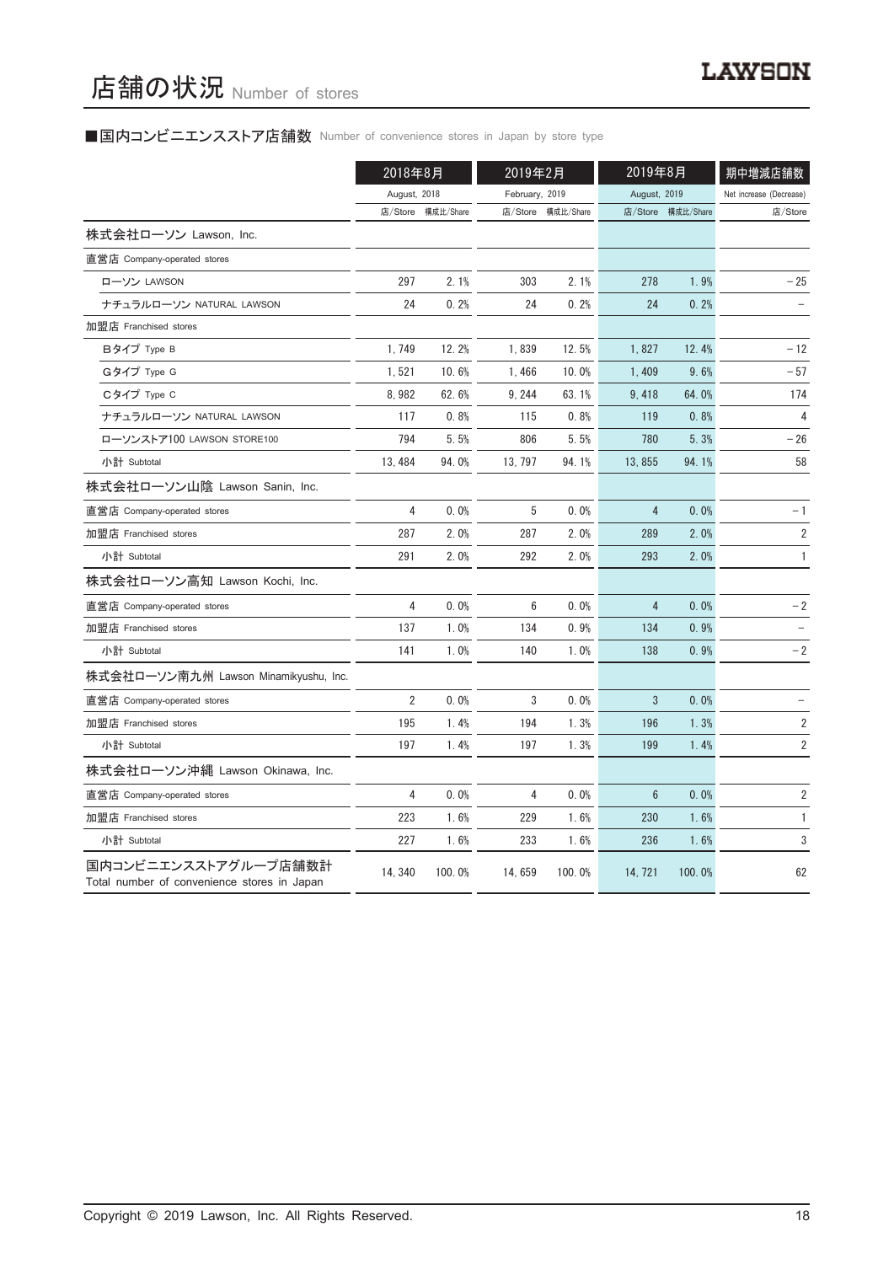# ■国内コンビニエンスストア店舗数 Number of convenience stores in Japan by store type

|                                                                     | 2018年8月        |           | 2019年2月        |           | 2019年8月         |                   | 期中増減店舗数                 |
|---------------------------------------------------------------------|----------------|-----------|----------------|-----------|-----------------|-------------------|-------------------------|
|                                                                     | August, 2018   |           | February, 2019 |           | August, 2019    |                   | Net increase (Decrease) |
|                                                                     | 店/Store        | 構成比/Share | 店/Store        | 構成比/Share |                 | 店/Store 構成比/Share | 店/Store                 |
| 株式会社ローソン Lawson, Inc.                                               |                |           |                |           |                 |                   |                         |
| 直営店 Company-operated stores                                         |                |           |                |           |                 |                   |                         |
| ローソン LAWSON                                                         | 297            | 2.1%      | 303            | 2.1%      | 278             | 1.9%              | $-25$                   |
| ナチュラルローソン NATURAL LAWSON                                            | 24             | 0.2%      | 24             | 0.2%      | 24              | 0.2%              |                         |
| 加盟店 Franchised stores                                               |                |           |                |           |                 |                   |                         |
| Bタイプ Type B                                                         | 1.749          | 12.2%     | 1,839          | 12.5%     | 1,827           | 12.4%             | $-12$                   |
| Gタイプ Type G                                                         | 1,521          | 10.6%     | 1,466          | 10.0%     | 1,409           | 9.6%              | $-57$                   |
| Cタイプ Type C                                                         | 8,982          | 62.6%     | 9, 244         | 63.1%     | 9,418           | 64.0%             | 174                     |
| ナチュラルローソン NATURAL LAWSON                                            | 117            | 0.8%      | 115            | 0.8%      | 119             | 0.8%              | 4                       |
| ローソンストア100 LAWSON STORE100                                          | 794            | 5.5%      | 806            | 5.5%      | 780             | 5.3%              | $-26$                   |
| 小計 Subtotal                                                         | 13, 484        | 94.0%     | 13, 797        | 94.1%     | 13,855          | 94.1%             | 58                      |
| 株式会社ローソン山陰 Lawson Sanin, Inc.                                       |                |           |                |           |                 |                   |                         |
| 直営店 Company-operated stores                                         | 4              | 0.0%      | 5              | 0.0%      | 4               | 0.0%              | $-1$                    |
| 加盟店 Franchised stores                                               | 287            | 2.0%      | 287            | 2.0%      | 289             | 2.0%              | $\sqrt{2}$              |
| 小計 Subtotal                                                         | 291            | 2.0%      | 292            | 2.0%      | 293             | 2.0%              | $\mathbf{1}$            |
| 株式会社ローソン高知 Lawson Kochi, Inc.                                       |                |           |                |           |                 |                   |                         |
| 直営店 Company-operated stores                                         | 4              | 0.0%      | 6              | 0.0%      | 4               | 0.0%              | $-2$                    |
| 加盟店 Franchised stores                                               | 137            | 1.0%      | 134            | 0.9%      | 134             | 0.9%              |                         |
| 小計 Subtotal                                                         | 141            | 1.0%      | 140            | 1.0%      | 138             | 0.9%              | $-2$                    |
| 株式会社ローソン南九州 Lawson Minamikyushu, Inc.                               |                |           |                |           |                 |                   |                         |
| 直営店 Company-operated stores                                         | $\overline{2}$ | 0.0%      | 3              | 0.0%      | 3               | 0.0%              |                         |
| 加盟店 Franchised stores                                               | 195            | 1.4%      | 194            | 1.3%      | 196             | 1.3%              | $\overline{2}$          |
| 小計 Subtotal                                                         | 197            | 1.4%      | 197            | 1.3%      | 199             | 1.4%              | 2                       |
| 株式会社ローソン沖縄 Lawson Okinawa, Inc.                                     |                |           |                |           |                 |                   |                         |
| 直営店 Company-operated stores                                         | 4              | 0.0%      | 4              | 0.0%      | $6\phantom{.}6$ | 0.0%              | $\sqrt{2}$              |
| 加盟店 Franchised stores                                               | 223            | 1.6%      | 229            | 1.6%      | 230             | 1.6%              | $\mathbf{1}$            |
| 小計 Subtotal                                                         | 227            | 1.6%      | 233            | 1.6%      | 236             | 1.6%              | 3                       |
| 国内コンビニエンスストアグループ店舗数計<br>Total number of convenience stores in Japan | 14, 340        | 100.0%    | 14,659         | 100.0%    | 14, 721         | 100.0%            | 62                      |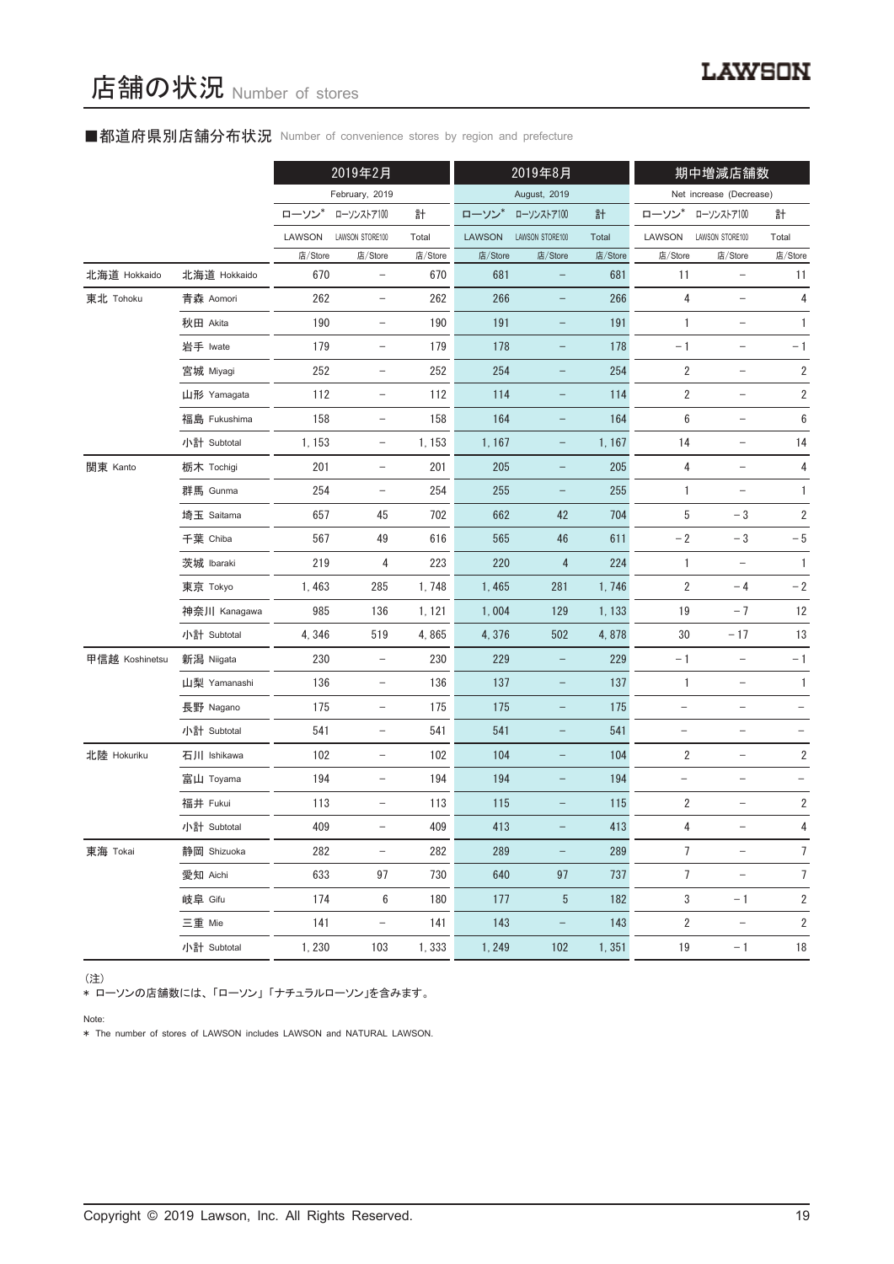#### ■都道府県別店舗分布状況 Number of convenience stores by region and prefecture

|                |              |         | 2019年2月                  |         |               | 2019年8月           |         |                         | 期中増減店舗数                  |                         |
|----------------|--------------|---------|--------------------------|---------|---------------|-------------------|---------|-------------------------|--------------------------|-------------------------|
|                |              |         | February, 2019           |         |               | August, 2019      |         |                         | Net increase (Decrease)  |                         |
|                |              | ローソン    | ローソンストア100               | 計       | ローソン          | ローソンストア100        | 計       | ローソン                    | ローソンストア100               | 計                       |
|                |              | LAWSON  | LAWSON STORE100          | Total   | <b>LAWSON</b> | LAWSON STORE100   | Total   | LAWSON                  | LAWSON STORE100          | Total                   |
|                |              | 店/Store | 店/Store                  | 店/Store | 店/Store       | 店/Store           | 店/Store | 店/Store                 | 店/Store                  | 店/Store                 |
| 北海道 Hokkaido   | 北海道 Hokkaido | 670     | $\qquad \qquad -$        | 670     | 681           | -                 | 681     | 11                      | $\qquad \qquad -$        | 11                      |
| 東北 Tohoku      | 青森 Aomori    | 262     | $\qquad \qquad -$        | 262     | 266           |                   | 266     | 4                       | $\overline{\phantom{0}}$ | 4                       |
|                | 秋田 Akita     | 190     | $\qquad \qquad -$        | 190     | 191           | $\qquad \qquad -$ | 191     | 1                       | $\overline{\phantom{a}}$ | $\mathbf{1}$            |
|                | 岩手 Iwate     | 179     | $\qquad \qquad -$        | 179     | 178           | $\qquad \qquad -$ | 178     | $-1$                    | $\qquad \qquad -$        | $-1$                    |
|                | 宮城 Miyagi    | 252     | $\qquad \qquad -$        | 252     | 254           | $\qquad \qquad -$ | 254     | $\sqrt{2}$              | $\overline{\phantom{0}}$ | $\overline{\mathbf{c}}$ |
|                | 山形 Yamagata  | 112     | $\qquad \qquad -$        | 112     | 114           | $\qquad \qquad -$ | 114     | $\sqrt{2}$              | $\overline{\phantom{a}}$ | $\overline{\mathbf{c}}$ |
|                | 福島 Fukushima | 158     | $\qquad \qquad -$        | 158     | 164           | $\qquad \qquad -$ | 164     | 6                       | $\qquad \qquad -$        | $\boldsymbol{6}$        |
|                | 小計 Subtotal  | 1, 153  | $\qquad \qquad -$        | 1, 153  | 1, 167        | $\qquad \qquad -$ | 1, 167  | 14                      | $\qquad \qquad -$        | 14                      |
| 関東 Kanto       | 栃木 Tochigi   | 201     | $\overline{\phantom{a}}$ | 201     | 205           | $\qquad \qquad -$ | 205     | 4                       | $\overline{\phantom{a}}$ | 4                       |
|                | 群馬 Gunma     | 254     | $\qquad \qquad -$        | 254     | 255           | $\qquad \qquad -$ | 255     | 1                       |                          | $\mathbf{1}$            |
|                | 埼玉 Saitama   | 657     | 45                       | 702     | 662           | 42                | 704     | 5                       | $-3$                     | $\sqrt{2}$              |
|                | 千葉 Chiba     | 567     | 49                       | 616     | 565           | 46                | 611     | $-2$                    | $-3$                     | $-5$                    |
|                | 茨城 Ibaraki   | 219     | 4                        | 223     | 220           | 4                 | 224     | 1                       | $\qquad \qquad -$        | $\mathbf{1}$            |
|                | 東京 Tokyo     | 1,463   | 285                      | 1,748   | 1,465         | 281               | 1,746   | $\overline{2}$          | $-4$                     | $-2$                    |
|                | 神奈川 Kanagawa | 985     | 136                      | 1, 121  | 1,004         | 129               | 1, 133  | 19                      | $-7$                     | 12                      |
|                | 小計 Subtotal  | 4,346   | 519                      | 4,865   | 4,376         | 502               | 4,878   | $30\,$                  | $-17$                    | 13                      |
| 甲信越 Koshinetsu | 新潟 Niigata   | 230     | $\overline{\phantom{0}}$ | 230     | 229           |                   | 229     | $-1$                    | $\overline{\phantom{a}}$ | $-1$                    |
|                | 山梨 Yamanashi | 136     | $\qquad \qquad -$        | 136     | 137           | $\qquad \qquad -$ | 137     | $\mathbf{1}$            | $\overline{\phantom{a}}$ | $\mathbf{1}$            |
|                | 長野 Nagano    | 175     | $\qquad \qquad -$        | 175     | 175           | -                 | 175     | $\qquad \qquad -$       |                          |                         |
|                | 小計 Subtotal  | 541     | $\qquad \qquad -$        | 541     | 541           | -                 | 541     | $\qquad \qquad -$       | $\qquad \qquad -$        |                         |
| 北陸 Hokuriku    | 石川 Ishikawa  | 102     | $\qquad \qquad -$        | 102     | 104           | $\qquad \qquad -$ | 104     | 2                       | $\overline{\phantom{a}}$ | 2                       |
|                | 富山 Toyama    | 194     | $\qquad \qquad -$        | 194     | 194           | -                 | 194     | $\qquad \qquad -$       | $\qquad \qquad -$        |                         |
|                | 福井 Fukui     | 113     | $\qquad \qquad -$        | 113     | 115           |                   | 115     | $\overline{\mathbf{c}}$ |                          | 2                       |
|                | 小計 Subtotal  | 409     | $\qquad \qquad -$        | 409     | 413           |                   | 413     | 4                       | $\qquad \qquad -$        | $\overline{4}$          |
| 東海 Tokai       | 静岡 Shizuoka  | 282     | $\qquad \qquad -$        | 282     | 289           | $\qquad \qquad -$ | 289     | $\overline{7}$          |                          | $\overline{7}$          |
|                | 愛知 Aichi     | 633     | 97                       | 730     | 640           | 97                | 737     | $\overline{7}$          | $\overline{\phantom{a}}$ | $\overline{7}$          |
|                | 岐阜 Gifu      | 174     | 6                        | 180     | 177           | 5                 | 182     | 3                       | $-1$                     | 2                       |
|                | 三重 Mie       | 141     | $\qquad \qquad -$        | 141     | 143           | $\qquad \qquad -$ | 143     | $\overline{2}$          | $\overline{\phantom{a}}$ | $\overline{2}$          |
|                | 小計 Subtotal  | 1,230   | 103                      | 1,333   | 1, 249        | 102               | 1,351   | 19                      | $-1$                     | 18                      |

#### (注)

\* ローソンの店舗数には、 「ローソン」 「ナチュラルローソン」を含みます。

Note:

\* The number of stores of LAWSON includes LAWSON and NATURAL LAWSON.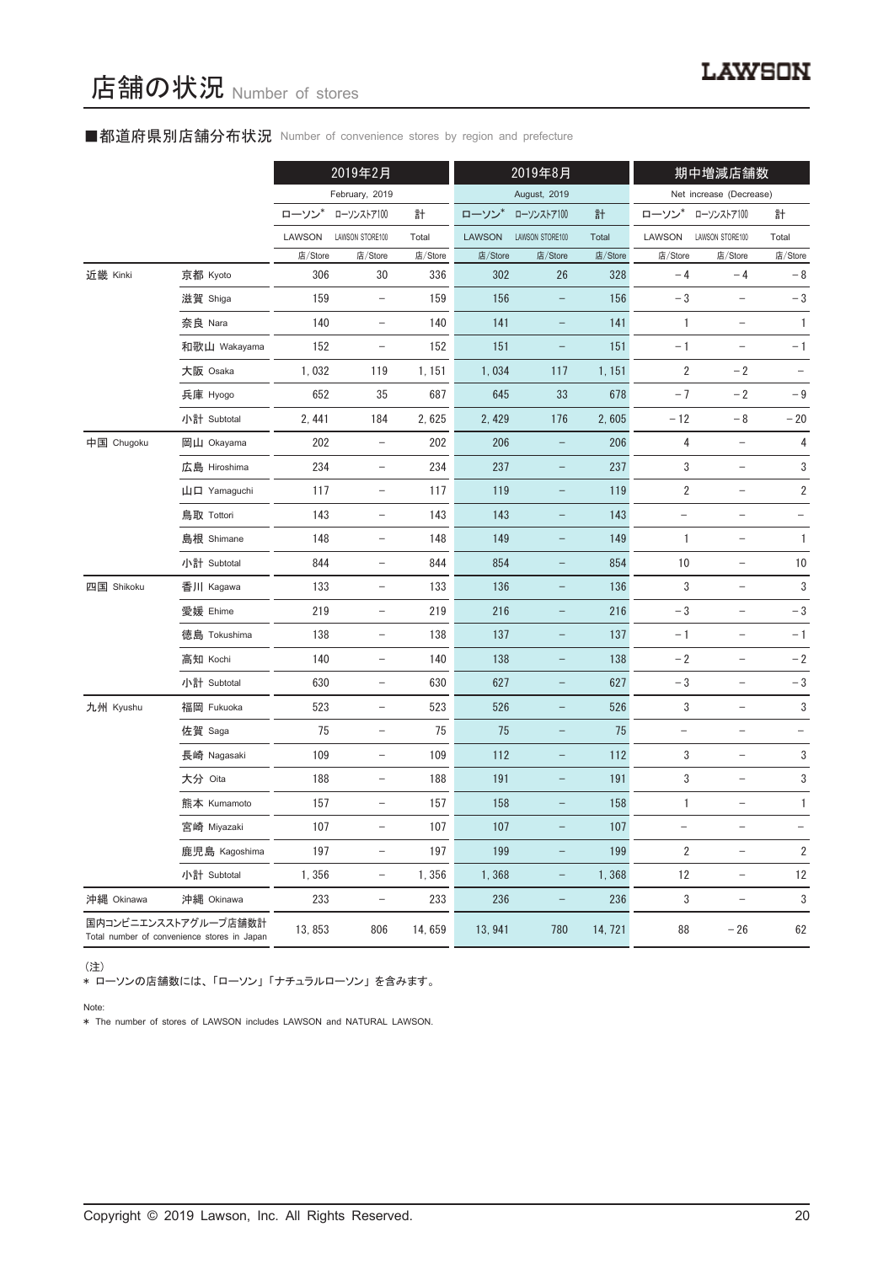#### ■都道府県別店舗分布状況 Number of convenience stores by region and prefecture

|            |                                                                     |         | 2019年2月                           |         |               | 2019年8月                  |         |                          | 期中増減店舗数                           |                   |
|------------|---------------------------------------------------------------------|---------|-----------------------------------|---------|---------------|--------------------------|---------|--------------------------|-----------------------------------|-------------------|
|            |                                                                     |         | February, 2019                    |         |               | August, 2019             |         |                          | Net increase (Decrease)           |                   |
|            |                                                                     | ローソン*   | ローソンストア100                        | 計       | ローソン*         | ローソンストア100               | 計       | ローソン                     | ローソンストア100                        | 計                 |
|            |                                                                     | LAWSON  | LAWSON STORE100                   | Total   | <b>LAWSON</b> | LAWSON STORE100          | Total   | LAWSON                   | LAWSON STORE100                   | Total             |
|            |                                                                     | 店/Store | 店/Store                           | 店/Store | 店/Store       | 店/Store                  | 店/Store | 店/Store                  | 店/Store                           | 店/Store           |
| 近畿 Kinki   | 京都 Kyoto                                                            | 306     | 30                                | 336     | 302           | 26                       | 328     | $-4$                     | $-4$                              | $-8$              |
|            | 滋賀 Shiga                                                            | 159     | $\overline{\phantom{a}}$          | 159     | 156           | $\qquad \qquad -$        | 156     | $-3$                     | $\qquad \qquad -$                 | $-3$              |
|            | 奈良 Nara                                                             | 140     | $\overline{\phantom{0}}$          | 140     | 141           |                          | 141     | 1                        |                                   | $\mathbf{1}$      |
|            | 和歌山 Wakayama                                                        | 152     | $\overline{\phantom{a}}$          | 152     | 151           | -                        | 151     | $-1$                     |                                   | $-1$              |
|            | 大阪 Osaka                                                            | 1,032   | 119                               | 1, 151  | 1,034         | 117                      | 1, 151  | $\sqrt{2}$               | $-2$                              | $\qquad \qquad -$ |
|            | 兵庫 Hyogo                                                            | 652     | 35                                | 687     | 645           | 33                       | 678     | $-7$                     | $-2$                              | $-\,9$            |
|            | 小計 Subtotal                                                         | 2, 441  | 184                               | 2,625   | 2,429         | 176                      | 2,605   | $-12$                    | $-8$                              | $-20$             |
| 中国 Chugoku | 岡山 Okayama                                                          | 202     | $\qquad \qquad -$                 | 202     | 206           |                          | 206     | 4                        |                                   | 4                 |
|            | 広島 Hiroshima                                                        | 234     | $\overline{\phantom{a}}$          | 234     | 237           | -                        | 237     | 3                        | $\qquad \qquad -$                 | 3                 |
|            | 山口 Yamaguchi                                                        | 117     | $\qquad \qquad -$                 | 117     | 119           |                          | 119     | $\overline{2}$           | $\overline{\phantom{0}}$          | 2                 |
|            | 鳥取 Tottori                                                          | 143     | $\qquad \qquad -$                 | 143     | 143           |                          | 143     |                          | $\overline{\phantom{0}}$          |                   |
|            | 島根 Shimane                                                          | 148     | $\overline{\phantom{a}}$          | 148     | 149           | $\overline{\phantom{0}}$ | 149     | 1                        | $\qquad \qquad -$                 | 1                 |
|            | 小計 Subtotal                                                         | 844     | $\overline{\phantom{a}}$          | 844     | 854           |                          | 854     | 10                       | $\overline{\phantom{0}}$          | $10$              |
| 四国 Shikoku | 香川 Kagawa                                                           | 133     | $\overline{\phantom{a}}$          | 133     | 136           | $\qquad \qquad -$        | 136     | 3                        | $\overline{a}$                    | $\sqrt{3}$        |
|            | 愛媛 Ehime                                                            | 219     | $\overline{\phantom{0}}$          | 219     | 216           |                          | 216     | $-3$                     |                                   | $-3$              |
|            | 徳島 Tokushima                                                        | 138     | $\overline{\phantom{a}}$          | 138     | 137           | $\qquad \qquad -$        | 137     | $-1$                     | $\overline{\phantom{0}}$          | $-1$              |
|            | 高知 Kochi                                                            | 140     | $\overline{\phantom{0}}$          | 140     | 138           |                          | 138     | $-2$                     | $\overline{\phantom{a}}$          | $-2$              |
|            | 小計 Subtotal                                                         | 630     | $\qquad \qquad -$                 | 630     | 627           |                          | 627     | $-3$                     | $\overline{\phantom{0}}$          | $-3$              |
| 九州 Kyushu  | 福岡 Fukuoka                                                          | 523     | $\qquad \qquad -$                 | 523     | 526           | $\qquad \qquad -$        | 526     | 3                        | $\overline{\phantom{a}}$          | $\sqrt{3}$        |
|            | 佐賀 Saga                                                             | 75      | $\overline{\phantom{a}}$          | 75      | 75            | $\overline{\phantom{0}}$ | 75      | $\overline{\phantom{0}}$ | $\overline{\phantom{0}}$          |                   |
|            | 長崎 Nagasaki                                                         | 109     | $\qquad \qquad -$                 | 109     | 112           |                          | 112     | 3                        |                                   | 3                 |
|            | 大分 Oita                                                             | 188     |                                   | 188     | 191           |                          | 191     | 3                        |                                   | 3                 |
|            | 熊本 Kumamoto                                                         | 157     | $\hspace{1.0cm} - \hspace{1.0cm}$ | 157     | 158           | -                        | 158     | 1                        | $\qquad \qquad -$                 | 1                 |
|            | 宮崎 Miyazaki                                                         | 107     | $\qquad \qquad -$                 | 107     | 107           |                          | 107     | $\qquad \qquad -$        | $\qquad \qquad -$                 | $\equiv$          |
|            | 鹿児島 Kagoshima                                                       | 197     | $\qquad \qquad -$                 | 197     | 199           |                          | 199     | 2                        | $\overline{\phantom{0}}$          | $\overline{2}$    |
|            | 小計 Subtotal                                                         | 1,356   | $\overline{\phantom{a}}$          | 1,356   | 1,368         | $\qquad \qquad -$        | 1,368   | 12                       | $\overline{\phantom{a}}$          | 12                |
| 沖縄 Okinawa | 沖縄 Okinawa                                                          | 233     | $\overline{\phantom{m}}$          | 233     | 236           | $\qquad \qquad -$        | 236     | 3                        | $\hspace{1.0cm} - \hspace{1.0cm}$ | 3                 |
|            | 国内コンビニエンスストアグループ店舗数計<br>Total number of convenience stores in Japan | 13,853  | 806                               | 14,659  | 13, 941       | 780                      | 14, 721 | 88                       | $-26$                             | 62                |

(注)

\* ローソンの店舗数には、 「ローソン」 「ナチュラルローソン」 を含みます。

Note:

\* The number of stores of LAWSON includes LAWSON and NATURAL LAWSON.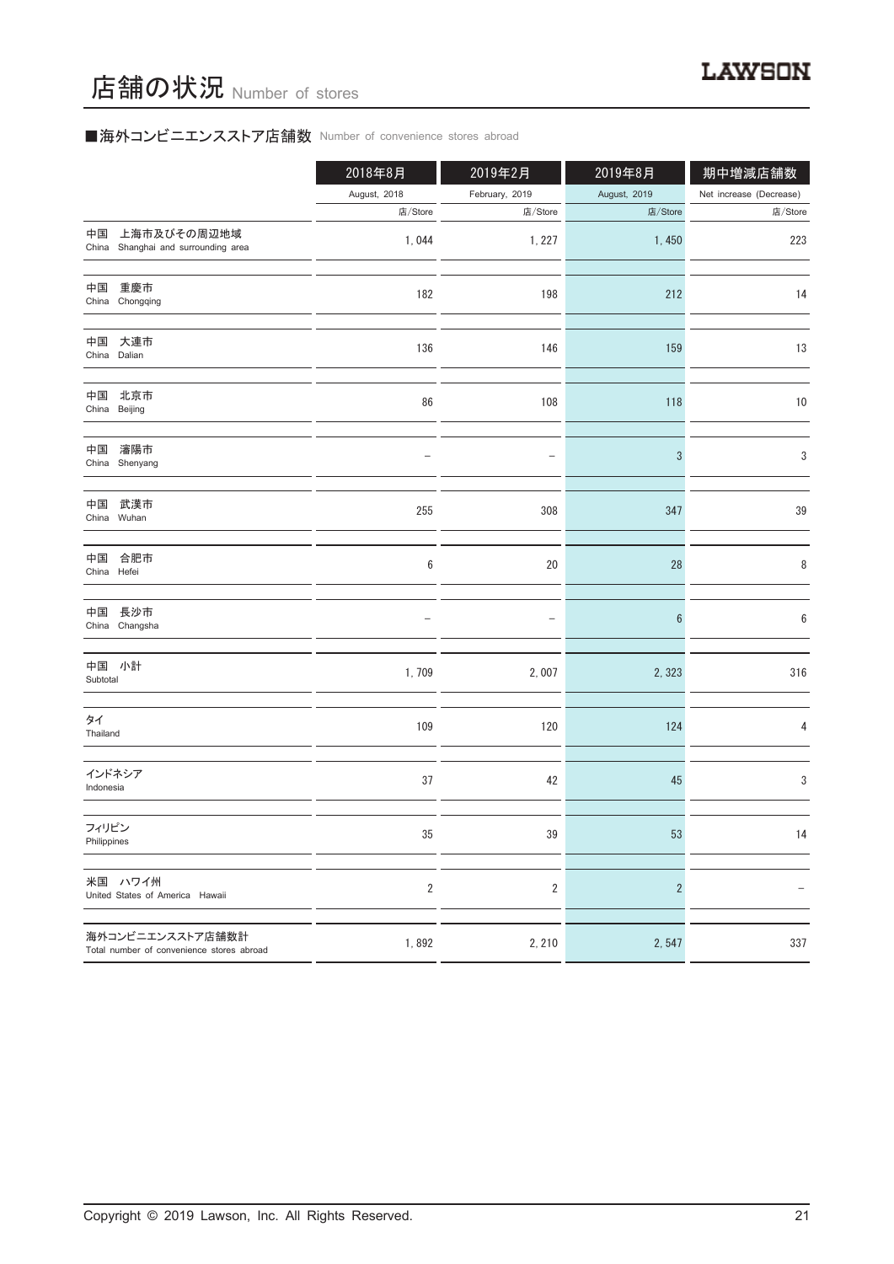# ■海外コンビニエンスストア店舗数 Number of convenience stores abroad

|                                                               | 2018年8月        | 2019年2月        | 2019年8月        | 期中増減店舗数                 |
|---------------------------------------------------------------|----------------|----------------|----------------|-------------------------|
|                                                               | August, 2018   | February, 2019 | August, 2019   | Net increase (Decrease) |
|                                                               | 店/Store        | 店/Store        | 店/Store        | 店/Store                 |
| 上海市及びその周辺地域<br>中国<br>China Shanghai and surrounding area      | 1,044          | 1, 227         | 1,450          | 223                     |
| 中国<br>重慶市<br>China Chongqing                                  | 182            | 198            | 212            | 14                      |
| 中国<br>大連市<br>China Dalian                                     | 136            | 146            | 159            | 13                      |
| 中国<br>北京市<br>China Beijing                                    | 86             | 108            | 118            | $10$                    |
| 瀋陽市<br>中国<br>China Shenyang                                   |                |                | 3              | 3                       |
| 中国<br>武漢市<br>China Wuhan                                      | 255            | 308            | 347            | 39                      |
| 中国 合肥市<br>China Hefei                                         | 6              | 20             | 28             | 8                       |
| 中国 長沙市<br>China Changsha                                      |                |                | 6              | 6                       |
| 中国 小計<br>Subtotal                                             | 1,709          | 2,007          | 2,323          | 316                     |
| タイ<br>Thailand                                                | 109            | 120            | 124            | 4                       |
| インドネシア<br>Indonesia                                           | 37             | 42             | 45             | 3                       |
| フィリピン<br>Philippines                                          | 35             | 39             | 53             | 14                      |
| 米国 ハワイ州<br>United States of America Hawaii                    | $\overline{2}$ | $\overline{2}$ | $\overline{c}$ |                         |
| 海外コンビニエンスストア店舗数計<br>Total number of convenience stores abroad | 1,892          | 2, 210         | 2,547          | 337                     |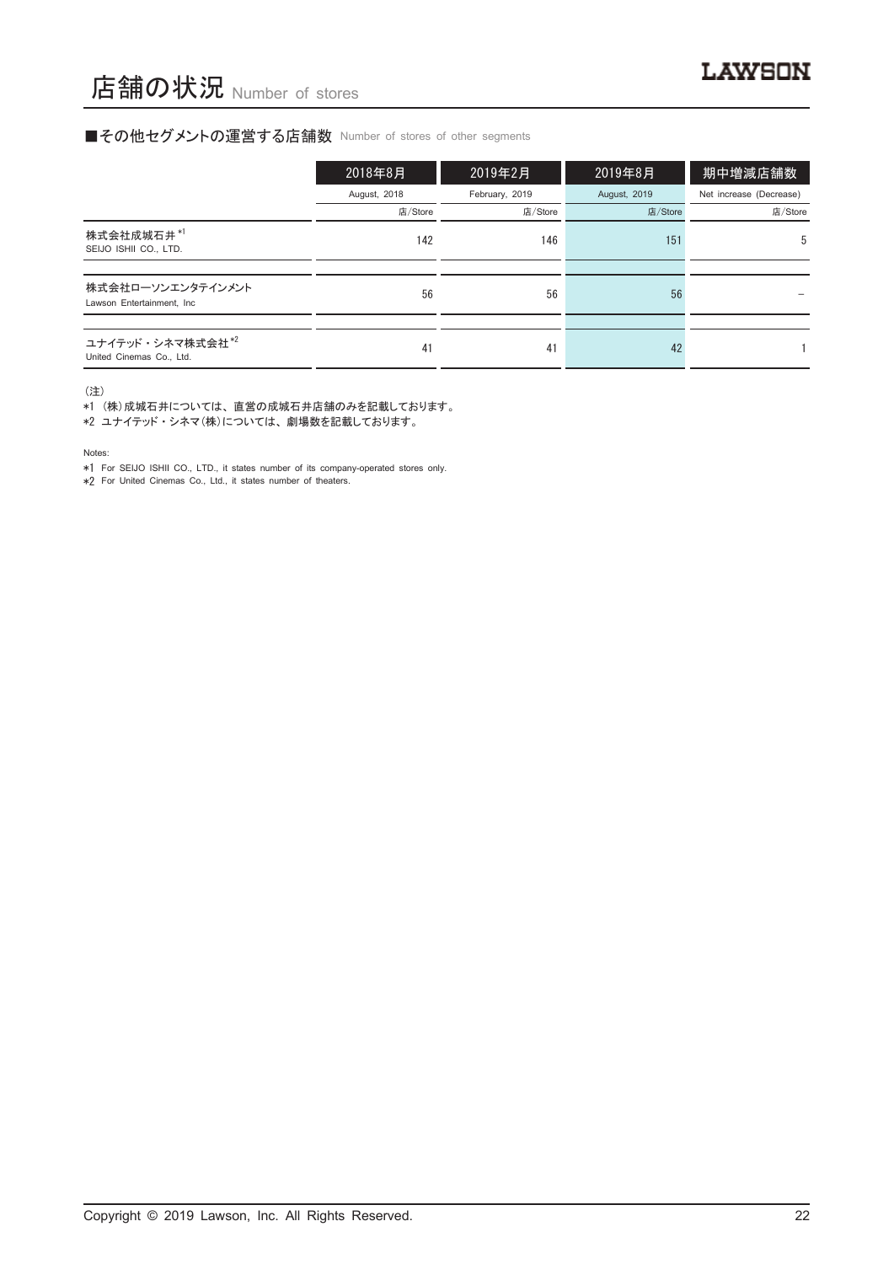#### ■その他セグメントの運営する店舗数 Number of stores of other segments

|                                                          | 2018年8月      | 2019年2月        | 2019年8月      | 期中増減店舗数                 |
|----------------------------------------------------------|--------------|----------------|--------------|-------------------------|
|                                                          | August, 2018 | February, 2019 | August, 2019 | Net increase (Decrease) |
|                                                          | 店/Store      | 店/Store        | 店/Store      | 店/Store                 |
| 株式会社成城石井*1<br>SEIJO ISHII CO., LTD.                      | 142          | 146            | 151          | 5                       |
|                                                          |              |                |              |                         |
| 株式会社ローソンエンタテインメント<br>Lawson Entertainment, Inc.          | 56           | 56             | 56           |                         |
|                                                          |              |                |              |                         |
| ユナイテッド・シネマ株式会社 <sup>*2</sup><br>United Cinemas Co., Ltd. | 41           | 41             | 42           |                         |

(注)

\*1 (株)成城石井については、 直営の成城石井店舗のみを記載しております。

\*2 ユナイテッド ・ シネマ(株)については、 劇場数を記載しております。

Notes:

\*1 For SEIJO ISHII CO., LTD., it states number of its company-operated stores only.

\*2 For United Cinemas Co., Ltd., it states number of theaters.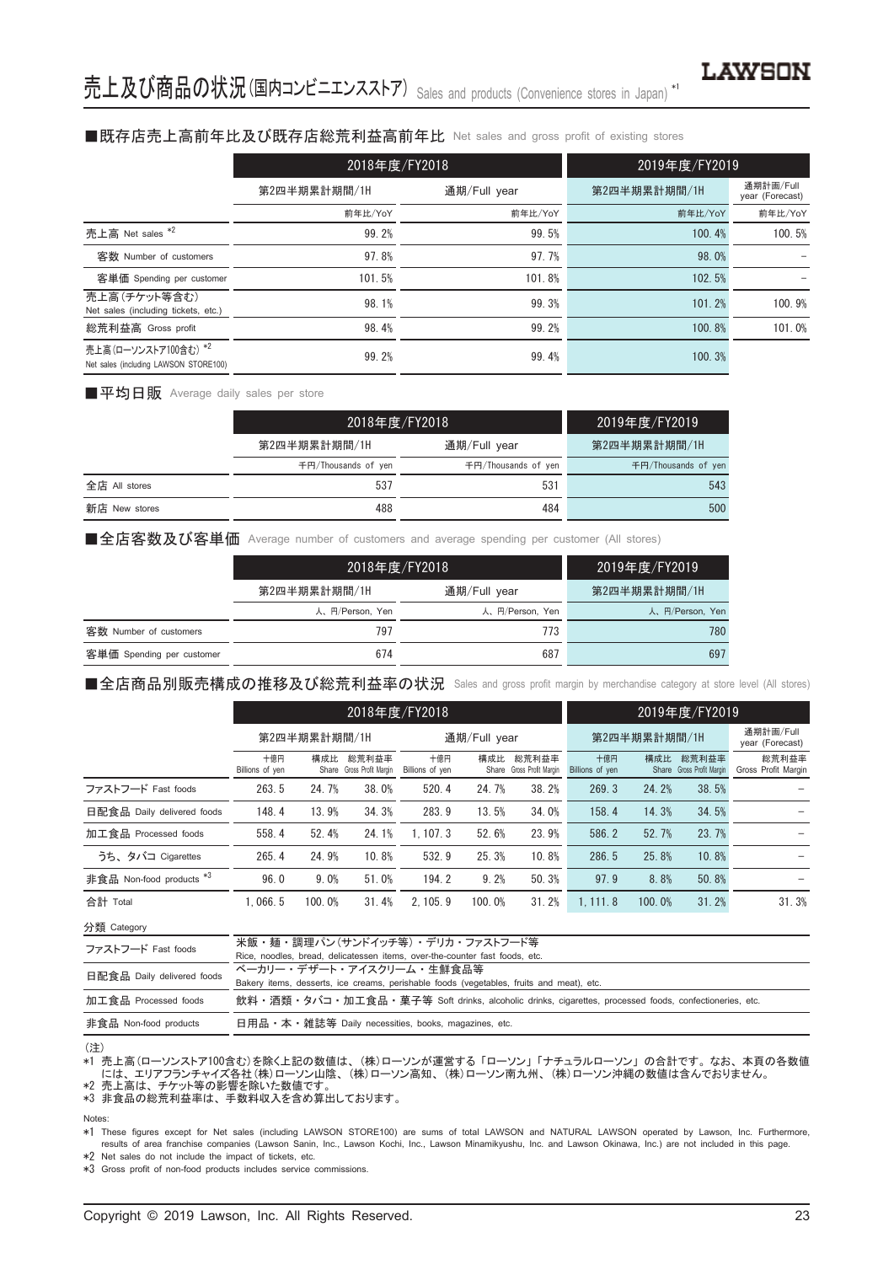#### ■既存店売上高前年比及び既存店総荒利益高前年比 Net sales and gross profit of existing stores

|                                                               | 2018年度/FY2018 |              | 2019年度/FY2019 |                              |  |
|---------------------------------------------------------------|---------------|--------------|---------------|------------------------------|--|
|                                                               | 第2四半期累計期間/1H  | 通期/Full year | 第2四半期累計期間/1H  | 通期計画/Full<br>year (Forecast) |  |
|                                                               | 前年比/YoY       | 前年比/YoY      | 前年比/YoY       | 前年比/YoY                      |  |
| 売上高 Net sales *2                                              | 99.2%         | 99.5%        | 100.4%        | 100.5%                       |  |
| 客数 Number of customers                                        | 97.8%         | 97.7%        | 98.0%         |                              |  |
| 客単価 Spending per customer                                     | 101.5%        | 101.8%       | 102.5%        |                              |  |
| 売上高(チケット等含む)<br>Net sales (including tickets, etc.)           | 98.1%         | 99.3%        | 101.2%        | 100.9%                       |  |
| 総荒利益高 Gross profit                                            | 98.4%         | 99.2%        | 100.8%        | 101.0%                       |  |
| 売上高(ローソンストア100含む) *2<br>Net sales (including LAWSON STORE100) | 99.2%         | 99.4%        | 100.3%        |                              |  |

■平均日販 Average daily sales per store

|               | 2018年度/FY2018       |                     | 2019年度/FY2019       |
|---------------|---------------------|---------------------|---------------------|
|               | 第2四半期累計期間/1H        | 通期/Full year        | 第2四半期累計期間/1H        |
|               | 千円/Thousands of yen | 千円/Thousands of yen | 千円/Thousands of yen |
| 全店 All stores | 537                 | 531                 | 543                 |
| 新店 New stores | 488                 | 484                 | 500                 |

■全店客数及び客単価 Average number of customers and average spending per customer (All stores)

|                           |                 | 2018年度/FY2018   | 2019年度/FY2019   |
|---------------------------|-----------------|-----------------|-----------------|
|                           | 第2四半期累計期間/1H    | 通期/Full year    | 第2四半期累計期間/1H    |
|                           | 人、円/Person, Yen | 人、円/Person, Yen | 人、円/Person, Yen |
| 客数 Number of customers    | 797             | 773             | 780             |
| 客単価 Spending per customer | 674             | 687             | 697             |

■全店商品別販売構成の推移及び総荒利益率の状況 Sales and gross profit margin by merchandise category at store level (All stores)

|                                     |                        | 2018年度/FY2018 |                                    |                        |        |                                    | 2019年度/FY2019          |        |                                    |                              |
|-------------------------------------|------------------------|---------------|------------------------------------|------------------------|--------|------------------------------------|------------------------|--------|------------------------------------|------------------------------|
|                                     | 第2四半期累計期間/1H           |               |                                    | 通期/Full year           |        |                                    | 第2四半期累計期間/1H           |        |                                    | 通期計画/Full<br>year (Forecast) |
|                                     | 十億円<br>Billions of yen | 構成比           | 総荒利益率<br>Share Gross Profit Margin | 十億円<br>Billions of yen | 構成比    | 総荒利益率<br>Share Gross Profit Margin | 十億円<br>Billions of yen | 構成比    | 総荒利益率<br>Share Gross Profit Margin | 総荒利益率<br>Gross Profit Margin |
| ファストフード Fast foods                  | 263.5                  | 24.7%         | 38.0%                              | 520.4                  | 24.7%  | 38.2%                              | 269.3                  | 24.2%  | 38.5%                              |                              |
| 日配食品 Daily delivered foods          | 148.4                  | 13.9%         | 34.3%                              | 283.9                  | 13.5%  | 34.0%                              | 158.4                  | 14.3%  | 34.5%                              |                              |
| 加工食品 Processed foods                | 558.4                  | 52.4%         | 24.1%                              | 1.107.3                | 52.6%  | 23.9%                              | 586.2                  | 52.7%  | 23.7%                              |                              |
| うち、タバコ Cigarettes                   | 265.4                  | 24.9%         | 10.8%                              | 532.9                  | 25.3%  | 10.8%                              | 286.5                  | 25.8%  | 10.8%                              |                              |
| 非食品 Non-food products <sup>*3</sup> | 96.0                   | 9.0%          | 51.0%                              | 194.2                  | 9.2%   | 50.3%                              | 97.9                   | 8.8%   | 50.8%                              |                              |
| 合計 Total                            | 1.066.5                | 100.0%        | 31.4%                              | 2.105.9                | 100.0% | 31.2%                              | 1.111.8                | 100.0% | 31.2%                              | 31.3%                        |

分類 Category

| ファストフード Fast foods         | 米飯・麺・調理パン(サンドイッチ等)・ デリカ・ファストフード等                                                                     |
|----------------------------|------------------------------------------------------------------------------------------------------|
|                            | Rice, noodles, bread, delicatessen items, over-the-counter fast foods, etc.                          |
| 日配食品 Daily delivered foods | ベーカリー・デザート・アイスクリーム・牛鮮食品等                                                                             |
|                            | Bakery items, desserts, ice creams, perishable foods (vegetables, fruits and meat), etc.             |
| 加工食品 Processed foods       | 飲料・酒類・タバコ・加工食品・菓子等 Soft drinks, alcoholic drinks, cigarettes, processed foods, confectioneries, etc. |
| 非食品 Non-food products      | 日用品 • 本 • 雑誌等 Daily necessities, books, magazines, etc.                                              |
|                            |                                                                                                      |

#### (注)

\*1 売上高(ローソンストア100含む)を除く上記の数値は、 (株)ローソンが運営する 「ローソン」 「ナチュラルローソン」 の合計です。 なお、 本頁の各数値 - には、エリアフランチャイズ各社(株)ローソン山陰、(株)ローソン高知、(株)ローソン南九州、(株)ローソン沖縄の数値は含んでおりません。<br>\*2 売上高は、チケット等の影響を除いた数値です。

\*3 非食品の総荒利益率は、 手数料収入を含め算出しております。

#### Notes:

\*1 These figures except for Net sales (including LAWSON STORE100) are sums of total LAWSON and NATURAL LAWSON operated by Lawson, Inc. Furthermore, results of area franchise companies (Lawson Sanin, Inc., Lawson Kochi, Inc., Lawson Minamikyushu, Inc. and Lawson Okinawa, Inc.) are not included in this page.

\*2 Net sales do not include the impact of tickets, etc.

\*3 Gross profit of non-food products includes service commissions.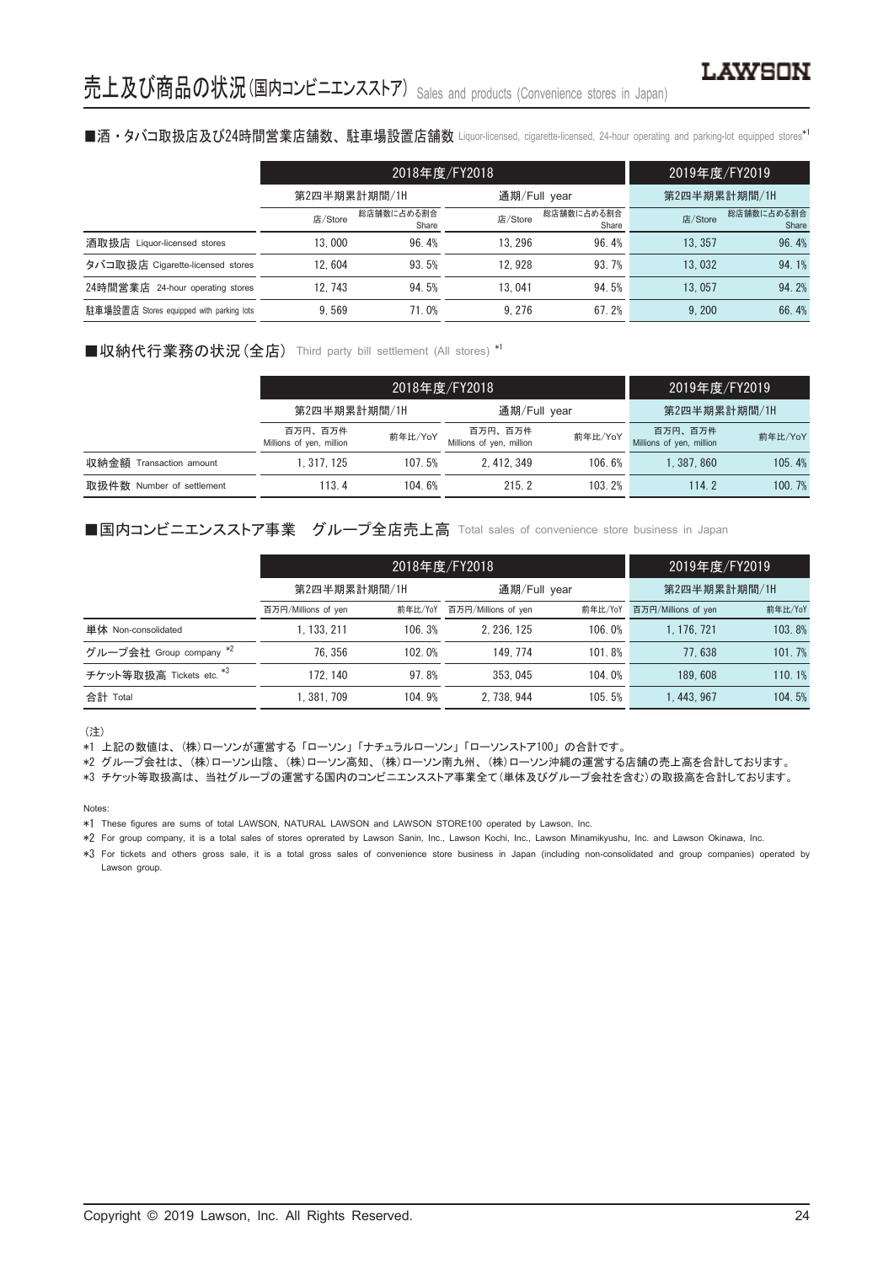#### ■酒・タバコ取扱店及び24時間営業店舗数、駐車場設置店舗数 Liquor-licensed, cigarette-licensed, 24-hour operating and parking-lot equipped stores\*'

|                                          |              | 2018年度/FY2018       | 2019年度/FY2019 |                     |              |                     |
|------------------------------------------|--------------|---------------------|---------------|---------------------|--------------|---------------------|
|                                          | 第2四半期累計期間/1H |                     | 通期/Full year  |                     | 第2四半期累計期間/1H |                     |
|                                          | 店/Store      | 総店舗数に占める割合<br>Share | 店/Store       | 総店舗数に占める割合<br>Share | 店/Store      | 総店舗数に占める割合<br>Share |
| 酒取扱店 Liquor-licensed stores              | 13.000       | 96.4%               | 13.296        | 96.4%               | 13.357       | 96.4%               |
| タバコ取扱店 Cigarette-licensed stores         | 12.604       | 93.5%               | 12.928        | 93.7%               | 13.032       | 94.1%               |
| 24時間営業店<br>24-hour operating stores      | 12.743       | 94.5%               | 13.041        | 94.5%               | 13.057       | 94.2%               |
| 駐車場設置店 Stores equipped with parking lots | 9.569        | 71.0%               | 9.276         | 67.2%               | 9.200        | 66.4%               |

#### ■収納代行業務の状況 (全店) Third party bill settlement (All stores) \*1

|                            |                                                | 2018年度/FY2018 | 2019年度/FY2019                       |         |                                     |         |
|----------------------------|------------------------------------------------|---------------|-------------------------------------|---------|-------------------------------------|---------|
|                            | 第2四半期累計期間/1H                                   |               | 通期/Full year                        |         | 第2四半期累計期間/1H                        |         |
|                            | 百万円、百万件<br>前年比/YoY<br>Millions of yen, million |               | 百万円、百万件<br>Millions of yen, million | 前年比/YoY | 百万円、百万件<br>Millions of yen, million | 前年比/YoY |
| 収納金額<br>Transaction amount | 1, 317, 125                                    | 107.5%        | 2.412.349                           | 106.6%  | 1.387.860                           | 105.4%  |
| 取扱件数 Number of settlement  | 113.4                                          | 104.6%        | 215.2                               | 103.2%  | 114.2                               | 100.7%  |

#### ■国内コンビニエンスストア事業 グループ全店売上高 Total sales of convenience store business in Japan

|                          |                     | 2018年度/FY2018 | 2019年度/FY2019<br>第2四半期累計期間/1H |         |                     |         |
|--------------------------|---------------------|---------------|-------------------------------|---------|---------------------|---------|
|                          | 第2四半期累計期間/1H        |               |                               |         | 通期/Full year        |         |
|                          | 百万円/Millions of yen | 前年比/YoY       | 百万円/Millions of yen           | 前年比/YoY | 百万円/Millions of yen | 前年比/YoY |
| 単体 Non-consolidated      | .133.211            | 106.3%        | 2.236.125                     | 106.0%  | 1.176.721           | 103.8%  |
| グループ会社 Group company *2  | 76.356              | 102.0%        | 149.774                       | 101.8%  | 77.638              | 101.7%  |
| チケット等取扱高 Tickets etc. *3 | 172.140             | 97.8%         | 353.045                       | 104.0%  | 189.608             | 110.1%  |
| 合計 Total                 | . 381. 709          | 104.9%        | 2.738.944                     | 105.5%  | 1.443.967           | 104.5%  |

(注)

\*1 上記の数値は、 (株)ローソンが運営する 「ローソン」 「ナチュラルローソン」 「ローソンストア100」 の合計です。

\*2 グループ会社は、 (株)ローソン山陰、 (株)ローソン高知、 (株)ローソン南九州、 (株)ローソン沖縄の運営する店舗の売上高を合計しております。

\*3 チケット等取扱高は、 当社グループの運営する国内のコンビニエンスストア事業全て(単体及びグループ会社を含む)の取扱高を合計しております。

Notes:

\*1 These figures are sums of total LAWSON, NATURAL LAWSON and LAWSON STORE100 operated by Lawson, Inc.

\*2 For group company, it is a total sales of stores oprerated by Lawson Sanin, Inc., Lawson Kochi, Inc., Lawson Minamikyushu, Inc. and Lawson Okinawa, Inc.

\*3 For tickets and others gross sale, it is a total gross sales of convenience store business in Japan (including non-consolidated and group companies) operated by Lawson group.